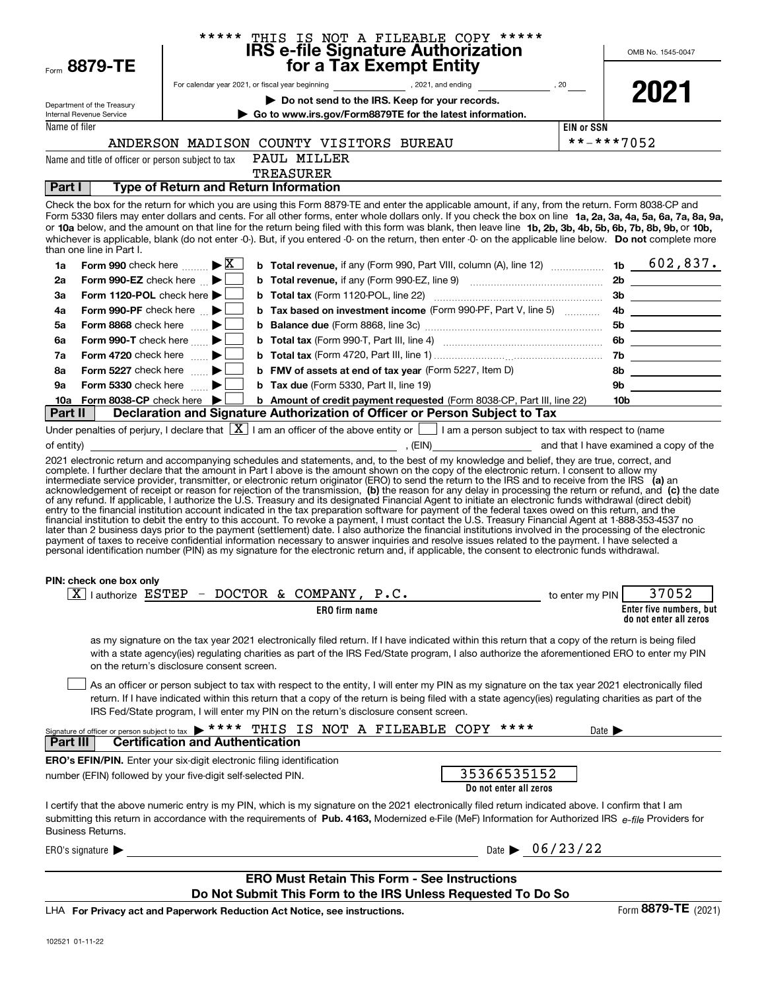| Form 8879-TE                                                                 |                                            |                                                                                       | ****** THIS IS NOT A FILEABLE COPY ******<br>IRS e-file Signature Authorization<br>for a Tax Exempt Entity                                                                                                                                                                                                                                                                                                                                                                                                                                                                                                                                                                                                                                                                                                                                                                                                                                                                                                                                                                                              |                                |                            | OMB No. 1545-0047                                 |
|------------------------------------------------------------------------------|--------------------------------------------|---------------------------------------------------------------------------------------|---------------------------------------------------------------------------------------------------------------------------------------------------------------------------------------------------------------------------------------------------------------------------------------------------------------------------------------------------------------------------------------------------------------------------------------------------------------------------------------------------------------------------------------------------------------------------------------------------------------------------------------------------------------------------------------------------------------------------------------------------------------------------------------------------------------------------------------------------------------------------------------------------------------------------------------------------------------------------------------------------------------------------------------------------------------------------------------------------------|--------------------------------|----------------------------|---------------------------------------------------|
|                                                                              |                                            |                                                                                       |                                                                                                                                                                                                                                                                                                                                                                                                                                                                                                                                                                                                                                                                                                                                                                                                                                                                                                                                                                                                                                                                                                         |                                |                            |                                                   |
| Department of the Treasury                                                   |                                            |                                                                                       | Do not send to the IRS. Keep for your records.                                                                                                                                                                                                                                                                                                                                                                                                                                                                                                                                                                                                                                                                                                                                                                                                                                                                                                                                                                                                                                                          |                                |                            | 2021                                              |
| Internal Revenue Service                                                     |                                            |                                                                                       | Go to www.irs.gov/Form8879TE for the latest information.                                                                                                                                                                                                                                                                                                                                                                                                                                                                                                                                                                                                                                                                                                                                                                                                                                                                                                                                                                                                                                                |                                |                            |                                                   |
| Name of filer                                                                |                                            |                                                                                       |                                                                                                                                                                                                                                                                                                                                                                                                                                                                                                                                                                                                                                                                                                                                                                                                                                                                                                                                                                                                                                                                                                         | <b>EIN or SSN</b>              |                            |                                                   |
|                                                                              |                                            | ANDERSON MADISON COUNTY VISITORS BUREAU                                               |                                                                                                                                                                                                                                                                                                                                                                                                                                                                                                                                                                                                                                                                                                                                                                                                                                                                                                                                                                                                                                                                                                         | **-***7052                     |                            |                                                   |
| Name and title of officer or person subject to tax                           |                                            | PAUL MILLER                                                                           |                                                                                                                                                                                                                                                                                                                                                                                                                                                                                                                                                                                                                                                                                                                                                                                                                                                                                                                                                                                                                                                                                                         |                                |                            |                                                   |
|                                                                              |                                            | <b>TREASURER</b>                                                                      |                                                                                                                                                                                                                                                                                                                                                                                                                                                                                                                                                                                                                                                                                                                                                                                                                                                                                                                                                                                                                                                                                                         |                                |                            |                                                   |
| <b>Part I</b>                                                                |                                            | <b>Type of Return and Return Information</b>                                          |                                                                                                                                                                                                                                                                                                                                                                                                                                                                                                                                                                                                                                                                                                                                                                                                                                                                                                                                                                                                                                                                                                         |                                |                            |                                                   |
| than one line in Part I.                                                     |                                            |                                                                                       | Check the box for the return for which you are using this Form 8879-TE and enter the applicable amount, if any, from the return. Form 8038-CP and<br>Form 5330 filers may enter dollars and cents. For all other forms, enter whole dollars only. If you check the box on line 1a, 2a, 3a, 4a, 5a, 6a, 7a, 8a, 9a,<br>or 10a below, and the amount on that line for the return being filed with this form was blank, then leave line 1b, 2b, 3b, 4b, 5b, 6b, 7b, 8b, 9b, or 10b,<br>whichever is applicable, blank (do not enter -0-). But, if you entered -0- on the return, then enter -0- on the applicable line below. Do not complete more                                                                                                                                                                                                                                                                                                                                                                                                                                                         |                                |                            |                                                   |
| Form 990 check here $\ldots \rightarrow \boxed{\text{X}}$<br>1a              |                                            |                                                                                       | <b>b</b> Total revenue, if any (Form 990, Part VIII, column (A), line 12)  1b $602,837$ .                                                                                                                                                                                                                                                                                                                                                                                                                                                                                                                                                                                                                                                                                                                                                                                                                                                                                                                                                                                                               |                                |                            |                                                   |
| Form 990-EZ check here $\blacktriangleright$<br>2a                           |                                            |                                                                                       |                                                                                                                                                                                                                                                                                                                                                                                                                                                                                                                                                                                                                                                                                                                                                                                                                                                                                                                                                                                                                                                                                                         |                                |                            |                                                   |
| Form 1120-POL check here $\blacktriangleright$  <br>За                       |                                            |                                                                                       |                                                                                                                                                                                                                                                                                                                                                                                                                                                                                                                                                                                                                                                                                                                                                                                                                                                                                                                                                                                                                                                                                                         |                                |                            | 3b                                                |
| Form 990-PF check here $\mathbb{R}$<br>4a                                    |                                            |                                                                                       | <b>b</b> Tax based on investment income (Form 990-PF, Part V, line 5)                                                                                                                                                                                                                                                                                                                                                                                                                                                                                                                                                                                                                                                                                                                                                                                                                                                                                                                                                                                                                                   |                                |                            | 4b                                                |
| Form 8868 check here $\blacksquare$<br>5а                                    |                                            |                                                                                       |                                                                                                                                                                                                                                                                                                                                                                                                                                                                                                                                                                                                                                                                                                                                                                                                                                                                                                                                                                                                                                                                                                         |                                |                            | 5b                                                |
| Form 990-T check here $\blacktriangleright$<br>6a                            |                                            |                                                                                       |                                                                                                                                                                                                                                                                                                                                                                                                                                                                                                                                                                                                                                                                                                                                                                                                                                                                                                                                                                                                                                                                                                         |                                |                            | 6b                                                |
| Form 4720 check here $\ldots$<br>7a                                          |                                            |                                                                                       |                                                                                                                                                                                                                                                                                                                                                                                                                                                                                                                                                                                                                                                                                                                                                                                                                                                                                                                                                                                                                                                                                                         |                                |                            | 7b                                                |
| Form 5227 check here $\ldots$<br>8а                                          |                                            |                                                                                       | <b>b</b> FMV of assets at end of tax year (Form 5227, Item D)                                                                                                                                                                                                                                                                                                                                                                                                                                                                                                                                                                                                                                                                                                                                                                                                                                                                                                                                                                                                                                           |                                |                            | 8b                                                |
| Form 5330 check here $\blacktriangleright$<br>9а                             |                                            | <b>b</b> Tax due (Form 5330, Part II, line 19)                                        |                                                                                                                                                                                                                                                                                                                                                                                                                                                                                                                                                                                                                                                                                                                                                                                                                                                                                                                                                                                                                                                                                                         |                                | 9b                         |                                                   |
| Form 8038-CP check here $\blacktriangleright$<br>10a<br>Part II              |                                            |                                                                                       | <b>b</b> Amount of credit payment requested (Form 8038-CP, Part III, line 22)<br>Declaration and Signature Authorization of Officer or Person Subject to Tax                                                                                                                                                                                                                                                                                                                                                                                                                                                                                                                                                                                                                                                                                                                                                                                                                                                                                                                                            |                                | 10 <sub>b</sub>            |                                                   |
| PIN: check one box only                                                      |                                            |                                                                                       | acknowledgement of receipt or reason for rejection of the transmission, (b) the reason for any delay in processing the return or refund, and (c) the date<br>of any refund. If applicable, I authorize the U.S. Treasury and its designated Financial Agent to initiate an electronic funds withdrawal (direct debit)<br>entry to the financial institution account indicated in the tax preparation software for payment of the federal taxes owed on this return, and the<br>financial institution to debit the entry to this account. To revoke a payment, I must contact the U.S. Treasury Financial Agent at 1-888-353-4537 no<br>later than 2 business days prior to the payment (settlement) date. I also authorize the financial institutions involved in the processing of the electronic<br>payment of taxes to receive confidential information necessary to answer inquiries and resolve issues related to the payment. I have selected a<br>personal identification number (PIN) as my signature for the electronic return and, if applicable, the consent to electronic funds withdrawal. |                                |                            |                                                   |
|                                                                              |                                            | $\overline{X}$   authorize ESTEP - DOCTOR & COMPANY, P.C.                             |                                                                                                                                                                                                                                                                                                                                                                                                                                                                                                                                                                                                                                                                                                                                                                                                                                                                                                                                                                                                                                                                                                         | to enter my PIN                |                            | 37052                                             |
|                                                                              |                                            | <b>ERO</b> firm name                                                                  |                                                                                                                                                                                                                                                                                                                                                                                                                                                                                                                                                                                                                                                                                                                                                                                                                                                                                                                                                                                                                                                                                                         |                                |                            | Enter five numbers, but<br>do not enter all zeros |
|                                                                              | on the return's disclosure consent screen. | IRS Fed/State program, I will enter my PIN on the return's disclosure consent screen. | as my signature on the tax year 2021 electronically filed return. If I have indicated within this return that a copy of the return is being filed<br>with a state agency(ies) regulating charities as part of the IRS Fed/State program, I also authorize the aforementioned ERO to enter my PIN<br>As an officer or person subject to tax with respect to the entity, I will enter my PIN as my signature on the tax year 2021 electronically filed<br>return. If I have indicated within this return that a copy of the return is being filed with a state agency(ies) regulating charities as part of the                                                                                                                                                                                                                                                                                                                                                                                                                                                                                            |                                |                            |                                                   |
| <b>Part III</b>                                                              | <b>Certification and Authentication</b>    |                                                                                       | Signature of officer or person subject to tax > ***** THIS IS NOT A FILEABLE COPY *****                                                                                                                                                                                                                                                                                                                                                                                                                                                                                                                                                                                                                                                                                                                                                                                                                                                                                                                                                                                                                 |                                | Date $\blacktriangleright$ |                                                   |
| <b>ERO's EFIN/PIN.</b> Enter your six-digit electronic filing identification |                                            |                                                                                       |                                                                                                                                                                                                                                                                                                                                                                                                                                                                                                                                                                                                                                                                                                                                                                                                                                                                                                                                                                                                                                                                                                         |                                |                            |                                                   |
| number (EFIN) followed by your five-digit self-selected PIN.                 |                                            |                                                                                       | 35366535152<br>Do not enter all zeros                                                                                                                                                                                                                                                                                                                                                                                                                                                                                                                                                                                                                                                                                                                                                                                                                                                                                                                                                                                                                                                                   |                                |                            |                                                   |
| <b>Business Returns.</b>                                                     |                                            |                                                                                       | I certify that the above numeric entry is my PIN, which is my signature on the 2021 electronically filed return indicated above. I confirm that I am<br>submitting this return in accordance with the requirements of Pub. 4163, Modernized e-File (MeF) Information for Authorized IRS e-file Providers for                                                                                                                                                                                                                                                                                                                                                                                                                                                                                                                                                                                                                                                                                                                                                                                            |                                |                            |                                                   |
| ERO's signature $\blacktriangleright$                                        |                                            |                                                                                       |                                                                                                                                                                                                                                                                                                                                                                                                                                                                                                                                                                                                                                                                                                                                                                                                                                                                                                                                                                                                                                                                                                         | Date $\triangleright$ 06/23/22 |                            |                                                   |
|                                                                              |                                            |                                                                                       | <b>ERO Must Retain This Form - See Instructions</b>                                                                                                                                                                                                                                                                                                                                                                                                                                                                                                                                                                                                                                                                                                                                                                                                                                                                                                                                                                                                                                                     |                                |                            |                                                   |
|                                                                              |                                            |                                                                                       | Do Not Submit This Form to the IRS Unless Requested To Do So                                                                                                                                                                                                                                                                                                                                                                                                                                                                                                                                                                                                                                                                                                                                                                                                                                                                                                                                                                                                                                            |                                |                            |                                                   |

**For Privacy act and Paperwork Reduction Act Notice, see instructions.** LHA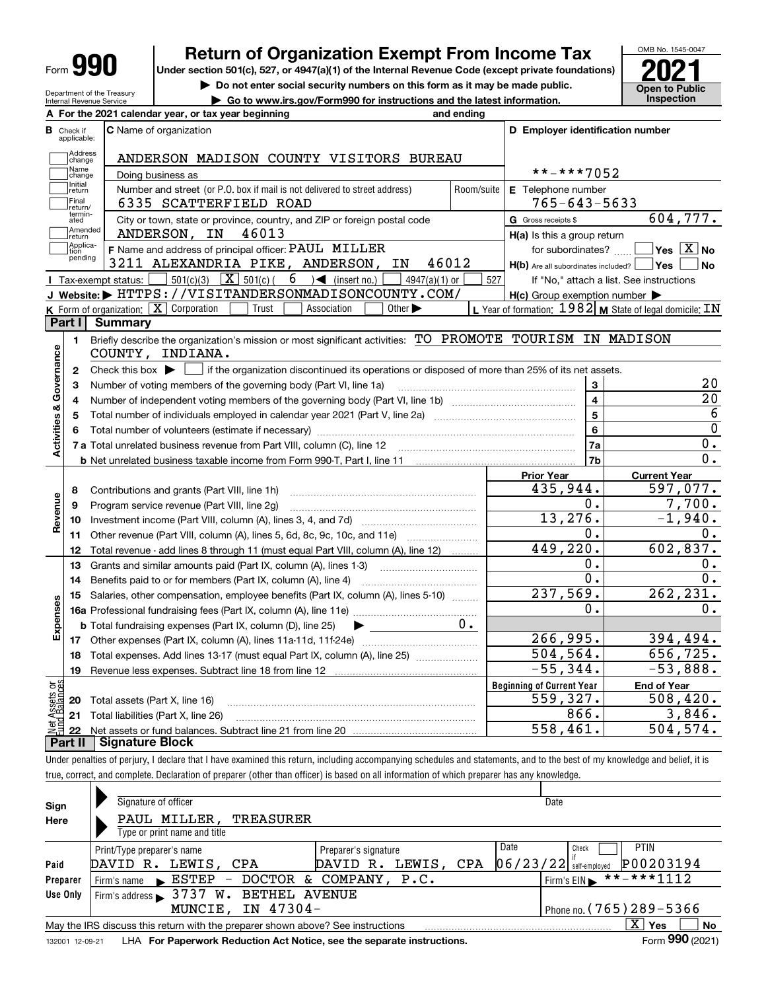| IГ<br>Form |
|------------|
|------------|

Department of the Treasury Internal Revenue Service

# **Return of Organization Exempt From Income Tax**

Under section 501(c), 527, or 4947(a)(1) of the Internal Revenue Code (except private foundations) **2021** 

**| Do not enter social security numbers on this form as it may be made public.**

**| Go to www.irs.gov/Form990 for instructions and the latest information. Inspection**



**Yes No**

604,777.

20 20 6 0  $\overline{0}$  . 0.

597,077. 7,700. -1,940. 0.

0.

0.

 **For the 2021 calendar year, or tax year beginning and ending AC** Name of organization **C D Employer identification number B**Check if applicable:**Address**<br>Change ANDERSON MADISON COUNTY VISITORS BUREAU Name<br>Change \*\*-\*\*\*7052 Doing business as Initial<br>
return **E** Telephone number Number and street (or P.O. box if mail is not delivered to street address)  $\qquad \qquad \mid$  Room/suite  $\mid$  E Telephone number Final return/ 6335 SCATTERFIELD ROAD 765-643-5633 termin-atedG Gross receipts \$  $\overline{e}$  City or town, state or province, country, and ZIP or foreign postal code  $\overline{G}$  Gross receipts \$ **communisment**<br> **return** ANDERSON, IN 46013 **H(a)** Is this a group return Applica-tion pending **F**  $\frac{1}{2}$  **F** Name and address of principal officer: PAUL MILLER **The SET SET SUBORT SET SET SUBORT SET SET SET SUBORT SET SUBORT SET SUBORT SET SUBORT SET SUBORT SET SUBORT SET SUBORT SET SUBORT SET SUBORT SET SUBORT** for subordinates?  $\boxed{X}$  **Yes**  $\boxed{X}$  **No** 3211 ALEXANDRIA PIKE, ANDERSON, IN 46012 H(b) Are all subordinates included? tus:  $\Box$  501(c)(3)  $\boxed{\mathbf{X}}$  501(c)( 6 )< (insert no.)  $\Box$  4947(a)(1) or  $\Box$  527 Tax-exempt status: 6 If "No," attach a list. See instructions **JWebsite: |** HTTPS://VISITANDERSONMADISONCOUNTY.COM/ **H(c)** Group exemption number Form of organization:  $\boxed{\textbf{X}}$  Corporation  $\boxed{\phantom{\textbf{X}}\phantom{\textbf{X}}}$  Trust  $\boxed{\phantom{\textbf{X}}\phantom{\textbf{X}}}$  Association  $\boxed{\phantom{\textbf{X}}\phantom{\textbf{X}}}$  Other  $\blacktriangleright$   $\phantom{\textbf{X}}\phantom{\textbf{X}}\blacksquare$  Year of formation:  $1982$  **M** State of legal domic **K** Form of organization:  $\boxed{\mathbf{X}}$  Corporation  $\boxed{\phantom{a}}$  Trust  $\boxed{\phantom{a}}$  Association **LPart I Summary** Briefly describe the organization's mission or most significant activities: TO PROMOTE TOURISM IN MADISON **1Activities & Governance Activities & Governance** COUNTY, INDIANA. Check this box  $\blacktriangleright$  if the organization discontinued its operations or disposed of more than 25% of its net assets. **2**Number of voting members of the governing body (Part VI, line 1a) **34**Number of independent voting members of the governing body (Part VI, line 1b) ………………………………… Total number of individuals employed in calendar year 2021 (Part V, line 2a) **56**Total number of volunteers (estimate if necessary) ~~~~~~~~~~~~~~~~~~~~**7a**Total unrelated business revenue from Part VIII, column (C), line 12 **b** Net unrelated business taxable income from Form 990-T, Part I, line 11 **Prior Year Current Year** 435,944. Contributions and grants (Part VIII, line 1h) ~~~~~~~~~~~~~~~~~~~~~ **8**Revenue **Revenue** Program service revenue (Part VIII, line 2g) ~~~~~~~~~~~~~~~~~~~~~ **9**Investment income (Part VIII, column (A), lines 3, 4, and 7d) ~~~~~~~~~~~~~ 13,276. **1011**Other revenue (Part VIII, column (A), lines 5, 6d, 8c, 9c, 10c, and 11e) Total revenue - add lines 8 through 11 (must equal Part VIII, column (A), line 12) **1213**Grants and similar amounts paid (Part IX, column (A), lines 1-3)

|      |                | Total revenue - add lines 8 through 11 (must equal Part VIII, column (A), line 12) | 449,220.                         | 602,837.           |
|------|----------------|------------------------------------------------------------------------------------|----------------------------------|--------------------|
|      | 13             | Grants and similar amounts paid (Part IX, column (A), lines 1-3)                   | υ.                               |                    |
|      | 14             | Benefits paid to or for members (Part IX, column (A), line 4)                      |                                  |                    |
| 8    | 15             | Salaries, other compensation, employee benefits (Part IX, column (A), lines 5-10)  | 237,569.                         | 262, 231.          |
|      |                | <b>16a</b> Professional fundraising fees (Part IX, column (A), line 11e)           | Ο.                               |                    |
|      |                | <b>b</b> Total fundraising expenses (Part IX, column (D), line 25)                 |                                  |                    |
|      | 17             | Other expenses (Part IX, column (A), lines 11a-11d, 11f-24e)                       | 266,995.                         | 394,494.           |
|      | 18             | Total expenses. Add lines 13-17 (must equal Part IX, column (A), line 25)          | 504, 564.                        | 656,725.           |
|      | 19             | Revenue less expenses. Subtract line 18 from line 12                               | $-55,344.$                       | $-53,888.$         |
| ៦អ្ន |                |                                                                                    | <b>Beginning of Current Year</b> | <b>End of Year</b> |
|      |                | Total assets (Part X, line 16)                                                     | 559,327.                         | 508,420.           |
|      |                | Total liabilities (Part X, line 26)                                                | 866.                             | 3,846.             |
|      |                |                                                                                    | 558,461.                         | 504,574.           |
|      | <b>Part II</b> | <b>Signature Block</b>                                                             |                                  |                    |

Under penalties of perjury, I declare that I have examined this return, including accompanying schedules and statements, and to the best of my knowledge and belief, it is true, correct, and complete. Declaration of preparer (other than officer) is based on all information of which preparer has any knowledge.

| Sign            | Signature of officer                                                            |                        | Date                                    |    |
|-----------------|---------------------------------------------------------------------------------|------------------------|-----------------------------------------|----|
| Here            | PAUL MILLER,<br>TREASURER                                                       |                        |                                         |    |
|                 | Type or print name and title                                                    |                        |                                         |    |
|                 | Print/Type preparer's name                                                      | Preparer's signature   | Date<br><b>PTIN</b><br>Check            |    |
| Paid            | LEWIS, CPA<br>DAVID R.                                                          | LEWIS, CPA<br>DAVID R. | P00203194<br>$ 06/23/22 $ self-employed |    |
| Preparer        | DOCTOR<br>Firm's name ESTEP<br>$\overline{\phantom{m}}$                         | & COMPANY, P.C.        | $***$ + * * 1112<br>Firm's $EIN$        |    |
| Use Only        | Firm's address $\blacktriangleright$ 3737 W.<br><b>BETHEL AVENUE</b>            |                        |                                         |    |
|                 | IN 47304-<br>MUNCIE.                                                            |                        | Phone no. (765) 289-5366                |    |
|                 | May the IRS discuss this return with the preparer shown above? See instructions |                        | $X \mid$<br>Yes                         | No |
| 132001 12-09-21 | LHA For Paperwork Reduction Act Notice, see the separate instructions.          |                        | Form 990 (2021)                         |    |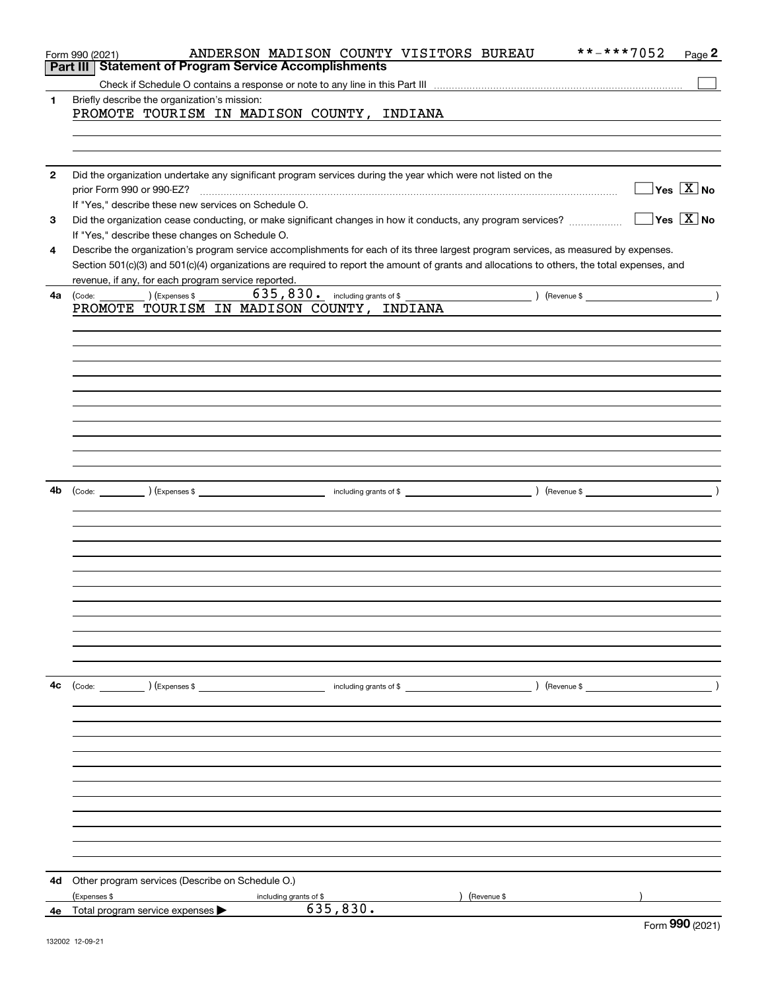|              | **-***7052<br>ANDERSON MADISON COUNTY VISITORS BUREAU<br>Page 2<br>Form 990 (2021)                                                                                                                  |
|--------------|-----------------------------------------------------------------------------------------------------------------------------------------------------------------------------------------------------|
|              | <b>Statement of Program Service Accomplishments</b><br>Part III                                                                                                                                     |
| 1.           | Briefly describe the organization's mission:                                                                                                                                                        |
|              | PROMOTE TOURISM IN MADISON COUNTY, INDIANA                                                                                                                                                          |
|              |                                                                                                                                                                                                     |
|              |                                                                                                                                                                                                     |
| $\mathbf{2}$ | Did the organization undertake any significant program services during the year which were not listed on the                                                                                        |
|              | $\overline{\ }$ Yes $\overline{\rm X}$ No<br>prior Form 990 or 990-EZ?                                                                                                                              |
|              | If "Yes," describe these new services on Schedule O.                                                                                                                                                |
| 3            | $\overline{\ }$ Yes $\overline{\ \ X}$ No<br>Did the organization cease conducting, or make significant changes in how it conducts, any program services?                                           |
|              | If "Yes," describe these changes on Schedule O.                                                                                                                                                     |
| 4            | Describe the organization's program service accomplishments for each of its three largest program services, as measured by expenses.                                                                |
|              | Section 501(c)(3) and 501(c)(4) organizations are required to report the amount of grants and allocations to others, the total expenses, and<br>revenue, if any, for each program service reported. |
| 4a           | the control of the control of the control<br>(Code: ) (Expenses \$                                                                                                                                  |
|              | PROMOTE TOURISM IN MADISON COUNTY, INDIANA                                                                                                                                                          |
|              |                                                                                                                                                                                                     |
|              |                                                                                                                                                                                                     |
|              |                                                                                                                                                                                                     |
|              |                                                                                                                                                                                                     |
|              |                                                                                                                                                                                                     |
|              |                                                                                                                                                                                                     |
|              |                                                                                                                                                                                                     |
|              |                                                                                                                                                                                                     |
|              |                                                                                                                                                                                                     |
|              |                                                                                                                                                                                                     |
| 4b           |                                                                                                                                                                                                     |
|              |                                                                                                                                                                                                     |
|              |                                                                                                                                                                                                     |
|              |                                                                                                                                                                                                     |
|              |                                                                                                                                                                                                     |
|              |                                                                                                                                                                                                     |
|              |                                                                                                                                                                                                     |
|              |                                                                                                                                                                                                     |
|              |                                                                                                                                                                                                     |
|              |                                                                                                                                                                                                     |
|              |                                                                                                                                                                                                     |
| 4c           | (Code:        )(Expenses \$                 including grants of \$                )(Revenue \$                                                                                                      |
|              |                                                                                                                                                                                                     |
|              |                                                                                                                                                                                                     |
|              |                                                                                                                                                                                                     |
|              |                                                                                                                                                                                                     |
|              |                                                                                                                                                                                                     |
|              |                                                                                                                                                                                                     |
|              |                                                                                                                                                                                                     |
|              |                                                                                                                                                                                                     |
|              |                                                                                                                                                                                                     |
|              |                                                                                                                                                                                                     |
|              |                                                                                                                                                                                                     |
| 4d           | Other program services (Describe on Schedule O.)                                                                                                                                                    |
|              | (Expenses \$<br>) (Revenue \$<br>including grants of \$                                                                                                                                             |
|              | 635,830.<br><b>4e</b> Total program service expenses $\blacktriangleright$<br><b>non</b>                                                                                                            |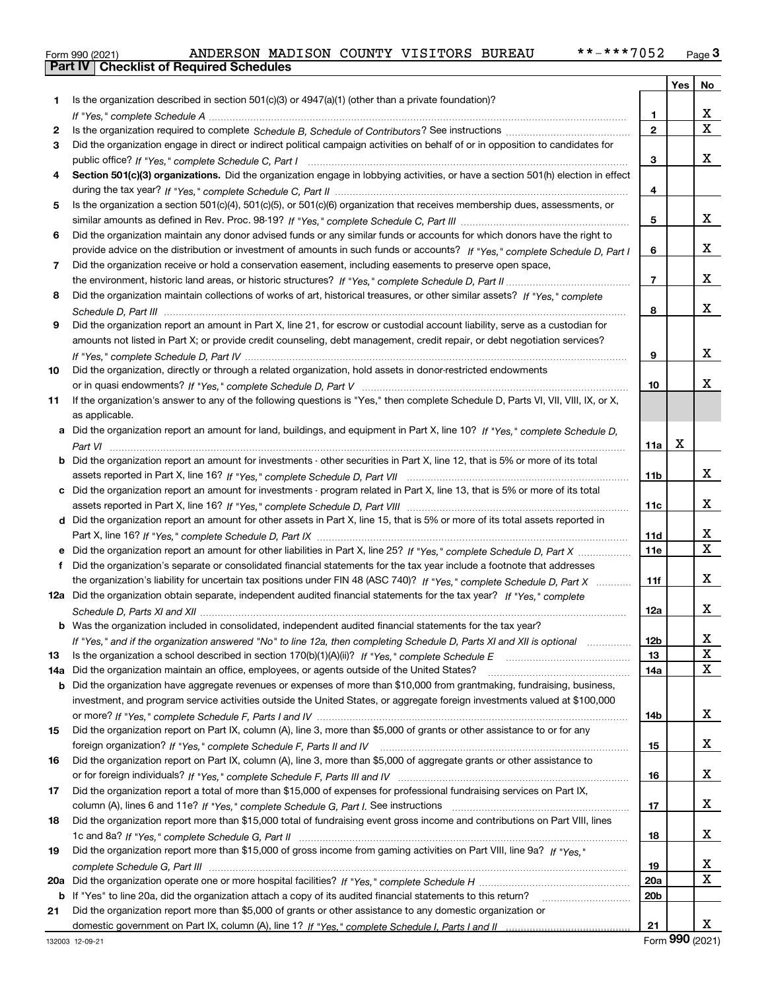|  | Form 990 (2021) |
|--|-----------------|

|     |                                                                                                                                                                                                                          |                 | Yes | No                           |
|-----|--------------------------------------------------------------------------------------------------------------------------------------------------------------------------------------------------------------------------|-----------------|-----|------------------------------|
| 1.  | Is the organization described in section $501(c)(3)$ or $4947(a)(1)$ (other than a private foundation)?                                                                                                                  |                 |     |                              |
|     |                                                                                                                                                                                                                          | 1               |     | X.                           |
| 2   |                                                                                                                                                                                                                          | $\mathbf{2}$    |     | X                            |
| 3   | Did the organization engage in direct or indirect political campaign activities on behalf of or in opposition to candidates for                                                                                          |                 |     |                              |
|     |                                                                                                                                                                                                                          | 3               |     | x                            |
| 4   | Section 501(c)(3) organizations. Did the organization engage in lobbying activities, or have a section 501(h) election in effect                                                                                         |                 |     |                              |
|     |                                                                                                                                                                                                                          | 4               |     |                              |
| 5   | Is the organization a section 501(c)(4), 501(c)(5), or 501(c)(6) organization that receives membership dues, assessments, or                                                                                             |                 |     |                              |
|     |                                                                                                                                                                                                                          | 5               |     | x                            |
| 6   | Did the organization maintain any donor advised funds or any similar funds or accounts for which donors have the right to                                                                                                |                 |     |                              |
|     | provide advice on the distribution or investment of amounts in such funds or accounts? If "Yes," complete Schedule D, Part I                                                                                             | 6               |     | X.                           |
| 7   | Did the organization receive or hold a conservation easement, including easements to preserve open space,                                                                                                                |                 |     |                              |
|     |                                                                                                                                                                                                                          | 7               |     | X.                           |
| 8   | Did the organization maintain collections of works of art, historical treasures, or other similar assets? If "Yes," complete                                                                                             |                 |     |                              |
|     |                                                                                                                                                                                                                          | 8               |     | x                            |
| 9   | Did the organization report an amount in Part X, line 21, for escrow or custodial account liability, serve as a custodian for                                                                                            |                 |     |                              |
|     | amounts not listed in Part X; or provide credit counseling, debt management, credit repair, or debt negotiation services?                                                                                                |                 |     |                              |
|     |                                                                                                                                                                                                                          | 9               |     | X.                           |
| 10  | Did the organization, directly or through a related organization, hold assets in donor-restricted endowments                                                                                                             |                 |     |                              |
|     |                                                                                                                                                                                                                          | 10              |     | х                            |
| 11  | If the organization's answer to any of the following questions is "Yes," then complete Schedule D, Parts VI, VII, VIII, IX, or X,                                                                                        |                 |     |                              |
|     | as applicable.                                                                                                                                                                                                           |                 |     |                              |
|     | a Did the organization report an amount for land, buildings, and equipment in Part X, line 10? If "Yes," complete Schedule D,                                                                                            |                 |     |                              |
|     |                                                                                                                                                                                                                          | 11a             | х   |                              |
|     | <b>b</b> Did the organization report an amount for investments - other securities in Part X, line 12, that is 5% or more of its total                                                                                    |                 |     |                              |
|     |                                                                                                                                                                                                                          | 11b             |     | x                            |
|     | c Did the organization report an amount for investments - program related in Part X, line 13, that is 5% or more of its total                                                                                            |                 |     |                              |
|     |                                                                                                                                                                                                                          | 11c             |     | X.                           |
|     | d Did the organization report an amount for other assets in Part X, line 15, that is 5% or more of its total assets reported in                                                                                          |                 |     |                              |
|     |                                                                                                                                                                                                                          | 11d             |     | X<br>$\overline{\mathbf{x}}$ |
|     |                                                                                                                                                                                                                          | <b>11e</b>      |     |                              |
| f   | Did the organization's separate or consolidated financial statements for the tax year include a footnote that addresses                                                                                                  |                 |     |                              |
|     | the organization's liability for uncertain tax positions under FIN 48 (ASC 740)? If "Yes," complete Schedule D, Part X                                                                                                   | 11f             |     | X.                           |
|     | 12a Did the organization obtain separate, independent audited financial statements for the tax year? If "Yes," complete                                                                                                  |                 |     | X.                           |
|     |                                                                                                                                                                                                                          | 12a             |     |                              |
|     | <b>b</b> Was the organization included in consolidated, independent audited financial statements for the tax year?                                                                                                       |                 |     | X                            |
|     | If "Yes," and if the organization answered "No" to line 12a, then completing Schedule D, Parts XI and XII is optional                                                                                                    | 12 <sub>b</sub> |     | X                            |
| 13  | Is the organization a school described in section 170(b)(1)(A)(ii)? If "Yes," complete Schedule E                                                                                                                        | 13              |     | x                            |
| 14a | Did the organization maintain an office, employees, or agents outside of the United States?<br>b Did the organization have aggregate revenues or expenses of more than \$10,000 from grantmaking, fundraising, business, | 14a             |     |                              |
|     | investment, and program service activities outside the United States, or aggregate foreign investments valued at \$100,000                                                                                               |                 |     |                              |
|     |                                                                                                                                                                                                                          | 14b             |     | X.                           |
| 15  | Did the organization report on Part IX, column (A), line 3, more than \$5,000 of grants or other assistance to or for any                                                                                                |                 |     |                              |
|     |                                                                                                                                                                                                                          | 15              |     | X.                           |
| 16  | Did the organization report on Part IX, column (A), line 3, more than \$5,000 of aggregate grants or other assistance to                                                                                                 |                 |     |                              |
|     |                                                                                                                                                                                                                          | 16              |     | X.                           |
| 17  | Did the organization report a total of more than \$15,000 of expenses for professional fundraising services on Part IX,                                                                                                  |                 |     |                              |
|     |                                                                                                                                                                                                                          | 17              |     | X.                           |
| 18  | Did the organization report more than \$15,000 total of fundraising event gross income and contributions on Part VIII, lines                                                                                             |                 |     |                              |
|     |                                                                                                                                                                                                                          | 18              |     | X.                           |
| 19  | Did the organization report more than \$15,000 of gross income from gaming activities on Part VIII, line 9a? If "Yes."                                                                                                   |                 |     |                              |
|     |                                                                                                                                                                                                                          | 19              |     | X                            |
| 20a |                                                                                                                                                                                                                          | 20a             |     | X                            |
|     | <b>b</b> If "Yes" to line 20a, did the organization attach a copy of its audited financial statements to this return?                                                                                                    | 20b             |     |                              |
| 21  | Did the organization report more than \$5,000 of grants or other assistance to any domestic organization or                                                                                                              |                 |     |                              |
|     |                                                                                                                                                                                                                          | 21              |     | X.                           |
|     |                                                                                                                                                                                                                          |                 |     |                              |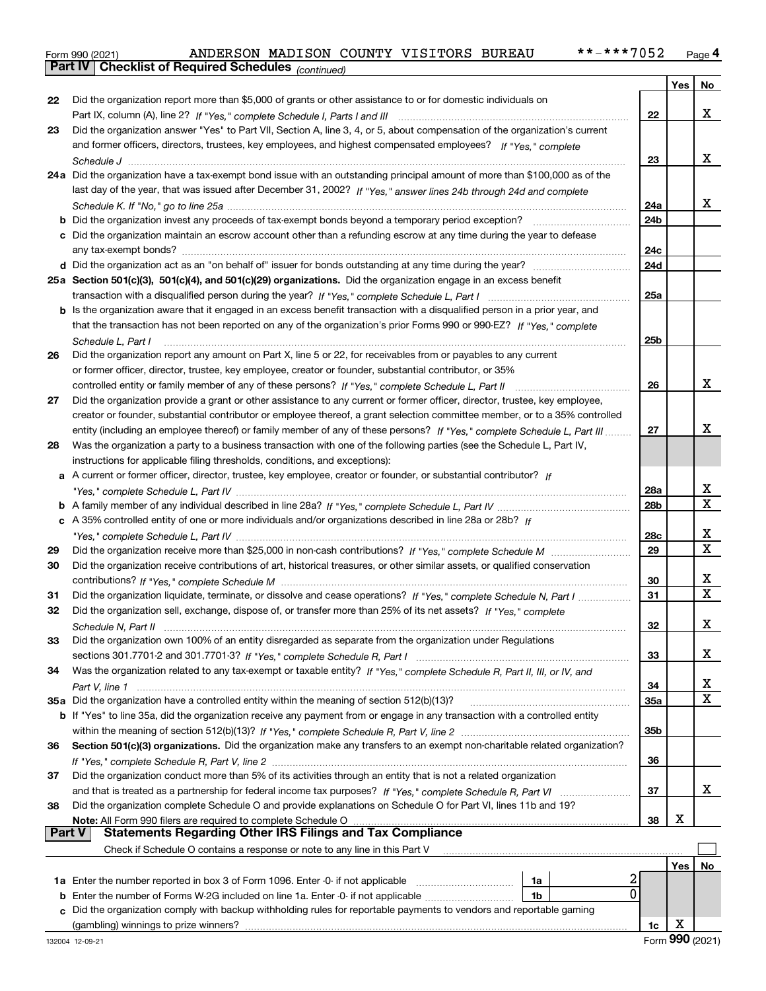| Form 990 (2021) |                                                              |  | ANDERSON MADISON COUNTY VISITORS BUREAU | **-***7052 | Page 4 |
|-----------------|--------------------------------------------------------------|--|-----------------------------------------|------------|--------|
|                 | <b>Part IV   Checklist of Required Schedules (continued)</b> |  |                                         |            |        |

|    | <b>Part IV</b> CRECKISTOI Required Scriedules $_{(continued)}$                                                                     |                 |     |             |
|----|------------------------------------------------------------------------------------------------------------------------------------|-----------------|-----|-------------|
|    |                                                                                                                                    |                 | Yes | No          |
| 22 | Did the organization report more than \$5,000 of grants or other assistance to or for domestic individuals on                      |                 |     |             |
|    |                                                                                                                                    | 22              |     | x           |
| 23 | Did the organization answer "Yes" to Part VII, Section A, line 3, 4, or 5, about compensation of the organization's current        |                 |     |             |
|    | and former officers, directors, trustees, key employees, and highest compensated employees? If "Yes," complete                     |                 |     |             |
|    |                                                                                                                                    | 23              |     | х           |
|    | 24a Did the organization have a tax-exempt bond issue with an outstanding principal amount of more than \$100,000 as of the        |                 |     |             |
|    | last day of the year, that was issued after December 31, 2002? If "Yes," answer lines 24b through 24d and complete                 |                 |     |             |
|    |                                                                                                                                    | 24a             |     | х           |
|    | <b>b</b> Did the organization invest any proceeds of tax-exempt bonds beyond a temporary period exception?                         | 24 <sub>b</sub> |     |             |
|    | c Did the organization maintain an escrow account other than a refunding escrow at any time during the year to defease             |                 |     |             |
|    |                                                                                                                                    | 24c             |     |             |
|    | d Did the organization act as an "on behalf of" issuer for bonds outstanding at any time during the year?                          | 24d             |     |             |
|    | 25a Section 501(c)(3), 501(c)(4), and 501(c)(29) organizations. Did the organization engage in an excess benefit                   |                 |     |             |
|    |                                                                                                                                    | 25a             |     |             |
|    | b Is the organization aware that it engaged in an excess benefit transaction with a disqualified person in a prior year, and       |                 |     |             |
|    | that the transaction has not been reported on any of the organization's prior Forms 990 or 990-EZ? If "Yes," complete              |                 |     |             |
|    | Schedule L, Part I                                                                                                                 | 25b             |     |             |
| 26 | Did the organization report any amount on Part X, line 5 or 22, for receivables from or payables to any current                    |                 |     |             |
|    | or former officer, director, trustee, key employee, creator or founder, substantial contributor, or 35%                            |                 |     |             |
|    |                                                                                                                                    | 26              |     | x           |
| 27 | Did the organization provide a grant or other assistance to any current or former officer, director, trustee, key employee,        |                 |     |             |
|    | creator or founder, substantial contributor or employee thereof, a grant selection committee member, or to a 35% controlled        |                 |     |             |
|    | entity (including an employee thereof) or family member of any of these persons? If "Yes," complete Schedule L, Part III           | 27              |     | x           |
| 28 | Was the organization a party to a business transaction with one of the following parties (see the Schedule L, Part IV,             |                 |     |             |
|    | instructions for applicable filing thresholds, conditions, and exceptions):                                                        |                 |     |             |
|    | a A current or former officer, director, trustee, key employee, creator or founder, or substantial contributor? If                 |                 |     |             |
|    |                                                                                                                                    | 28a             |     | х           |
|    |                                                                                                                                    | 28 <sub>b</sub> |     | Χ           |
|    | c A 35% controlled entity of one or more individuals and/or organizations described in line 28a or 28b? If                         |                 |     |             |
|    |                                                                                                                                    | 28c             |     | х           |
| 29 |                                                                                                                                    | 29              |     | $\mathbf X$ |
| 30 | Did the organization receive contributions of art, historical treasures, or other similar assets, or qualified conservation        |                 |     |             |
|    |                                                                                                                                    | 30              |     | х           |
| 31 | Did the organization liquidate, terminate, or dissolve and cease operations? If "Yes," complete Schedule N, Part I                 | 31              |     | х           |
| 32 | Did the organization sell, exchange, dispose of, or transfer more than 25% of its net assets? If "Yes," complete                   |                 |     |             |
|    | Schedule N. Part II                                                                                                                | 32              |     | х           |
| 33 | Did the organization own 100% of an entity disregarded as separate from the organization under Regulations                         |                 |     |             |
|    |                                                                                                                                    | 33              |     | x           |
| 34 | Was the organization related to any tax-exempt or taxable entity? If "Yes," complete Schedule R, Part II, III, or IV, and          |                 |     |             |
|    |                                                                                                                                    | 34              |     | х           |
|    | 35a Did the organization have a controlled entity within the meaning of section 512(b)(13)?                                        | 35a             |     | Χ           |
|    | <b>b</b> If "Yes" to line 35a, did the organization receive any payment from or engage in any transaction with a controlled entity |                 |     |             |
|    |                                                                                                                                    | 35b             |     |             |
| 36 | Section 501(c)(3) organizations. Did the organization make any transfers to an exempt non-charitable related organization?         |                 |     |             |
|    |                                                                                                                                    | 36              |     |             |
| 37 | Did the organization conduct more than 5% of its activities through an entity that is not a related organization                   |                 |     |             |
|    |                                                                                                                                    | 37              |     | х           |
| 38 | Did the organization complete Schedule O and provide explanations on Schedule O for Part VI, lines 11b and 19?                     |                 |     |             |
|    | Note: All Form 990 filers are required to complete Schedule O                                                                      | 38              | х   |             |
|    | ∣ Part V<br><b>Statements Regarding Other IRS Filings and Tax Compliance</b>                                                       |                 |     |             |
|    | Check if Schedule O contains a response or note to any line in this Part V                                                         |                 |     |             |
|    |                                                                                                                                    |                 | Yes | No          |
|    | 2<br>1a                                                                                                                            |                 |     |             |
|    | $\Omega$<br><b>b</b> Enter the number of Forms W-2G included on line 1a. Enter -0- if not applicable <i>manumumum</i><br>1b        |                 |     |             |
|    |                                                                                                                                    |                 |     |             |
|    | c Did the organization comply with backup withholding rules for reportable payments to vendors and reportable gaming               |                 |     |             |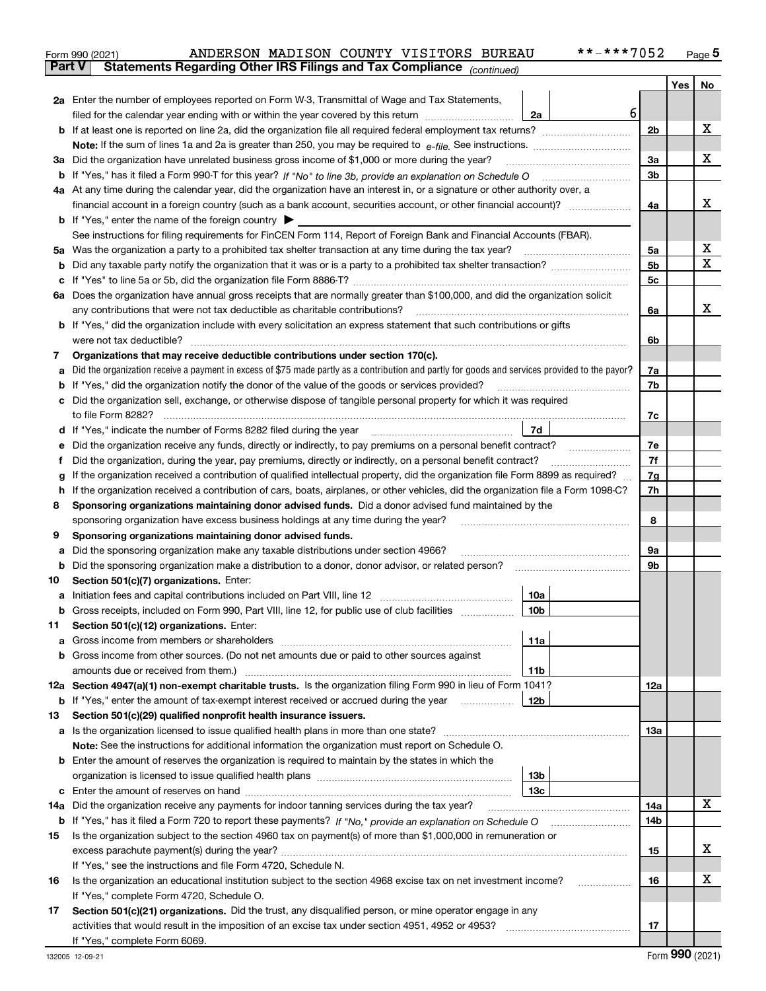|     | ANDERSON MADISON COUNTY VISITORS BUREAU<br>Form 990 (2021)                                                                                      | **-***7052 |                |     | $_{\text{Page}}$ 5 |
|-----|-------------------------------------------------------------------------------------------------------------------------------------------------|------------|----------------|-----|--------------------|
|     | <b>Part V</b><br>Statements Regarding Other IRS Filings and Tax Compliance (continued)                                                          |            |                |     |                    |
|     |                                                                                                                                                 |            |                | Yes | No                 |
|     | 2a Enter the number of employees reported on Form W-3, Transmittal of Wage and Tax Statements,                                                  |            |                |     |                    |
|     | filed for the calendar year ending with or within the year covered by this return<br>2a                                                         | 6          |                |     |                    |
|     |                                                                                                                                                 |            | 2b             |     | x                  |
|     |                                                                                                                                                 |            |                |     |                    |
|     |                                                                                                                                                 |            | 3a             |     | x                  |
|     | 3a Did the organization have unrelated business gross income of \$1,000 or more during the year?                                                |            |                |     |                    |
| b   |                                                                                                                                                 |            | 3b             |     |                    |
|     | 4a At any time during the calendar year, did the organization have an interest in, or a signature or other authority over, a                    |            |                |     |                    |
|     |                                                                                                                                                 |            | 4a             |     | x                  |
|     | <b>b</b> If "Yes," enter the name of the foreign country $\blacktriangleright$                                                                  |            |                |     |                    |
|     | See instructions for filing requirements for FinCEN Form 114, Report of Foreign Bank and Financial Accounts (FBAR).                             |            |                |     |                    |
| 5a  | Was the organization a party to a prohibited tax shelter transaction at any time during the tax year?                                           |            | 5а             |     | х                  |
| b   |                                                                                                                                                 |            | 5 <sub>b</sub> |     | X                  |
| c   |                                                                                                                                                 |            | 5c             |     |                    |
|     | 6a Does the organization have annual gross receipts that are normally greater than \$100,000, and did the organization solicit                  |            |                |     |                    |
|     | any contributions that were not tax deductible as charitable contributions? [[[[[[[[[[[[[[[[[[[[[[[]]]]]]]]]]]                                  |            | 6a             |     | х                  |
|     | <b>b</b> If "Yes," did the organization include with every solicitation an express statement that such contributions or gifts                   |            |                |     |                    |
|     |                                                                                                                                                 |            | 6b             |     |                    |
| 7   | Organizations that may receive deductible contributions under section 170(c).                                                                   |            |                |     |                    |
| а   | Did the organization receive a payment in excess of \$75 made partly as a contribution and partly for goods and services provided to the payor? |            | 7a             |     |                    |
| b   | If "Yes," did the organization notify the donor of the value of the goods or services provided?                                                 |            | 7b             |     |                    |
| с   | Did the organization sell, exchange, or otherwise dispose of tangible personal property for which it was required                               |            |                |     |                    |
|     |                                                                                                                                                 |            | 7c             |     |                    |
|     | 7d                                                                                                                                              |            |                |     |                    |
| d   |                                                                                                                                                 |            |                |     |                    |
| е   | Did the organization receive any funds, directly or indirectly, to pay premiums on a personal benefit contract?                                 |            | 7e<br>7f       |     |                    |
| f   | Did the organization, during the year, pay premiums, directly or indirectly, on a personal benefit contract?                                    |            |                |     |                    |
| g   | If the organization received a contribution of qualified intellectual property, did the organization file Form 8899 as required?                |            |                |     |                    |
| h   | If the organization received a contribution of cars, boats, airplanes, or other vehicles, did the organization file a Form 1098-C?              |            |                |     |                    |
| 8   | Sponsoring organizations maintaining donor advised funds. Did a donor advised fund maintained by the                                            |            |                |     |                    |
|     | sponsoring organization have excess business holdings at any time during the year?                                                              |            |                |     |                    |
| 9   | Sponsoring organizations maintaining donor advised funds.                                                                                       |            |                |     |                    |
| а   | Did the sponsoring organization make any taxable distributions under section 4966?                                                              |            | 9а             |     |                    |
| b   | Did the sponsoring organization make a distribution to a donor, donor advisor, or related person?                                               |            | 9b             |     |                    |
| 10  | Section 501(c)(7) organizations. Enter:                                                                                                         |            |                |     |                    |
|     | 10a                                                                                                                                             |            |                |     |                    |
|     | 10 <sub>b</sub><br>Gross receipts, included on Form 990, Part VIII, line 12, for public use of club facilities                                  |            |                |     |                    |
| 11  | Section 501(c)(12) organizations. Enter:                                                                                                        |            |                |     |                    |
| а   | 11a                                                                                                                                             |            |                |     |                    |
| b   | Gross income from other sources. (Do not net amounts due or paid to other sources against                                                       |            |                |     |                    |
|     | 11b                                                                                                                                             |            |                |     |                    |
|     | 12a Section 4947(a)(1) non-exempt charitable trusts. Is the organization filing Form 990 in lieu of Form 1041?                                  |            | 12a            |     |                    |
|     |                                                                                                                                                 |            |                |     |                    |
|     | 12b<br><b>b</b> If "Yes," enter the amount of tax-exempt interest received or accrued during the year <i>manument</i>                           |            |                |     |                    |
| 13  | Section 501(c)(29) qualified nonprofit health insurance issuers.                                                                                |            |                |     |                    |
| а   | Is the organization licensed to issue qualified health plans in more than one state?                                                            |            | 13a            |     |                    |
|     | Note: See the instructions for additional information the organization must report on Schedule O.                                               |            |                |     |                    |
| b   | Enter the amount of reserves the organization is required to maintain by the states in which the                                                |            |                |     |                    |
|     | 13 <sub>b</sub>                                                                                                                                 |            |                |     |                    |
| c   | 13с                                                                                                                                             |            |                |     |                    |
| 14a | Did the organization receive any payments for indoor tanning services during the tax year?                                                      |            | 14a            |     | х                  |
|     | <b>b</b> If "Yes," has it filed a Form 720 to report these payments? If "No," provide an explanation on Schedule O                              |            | 14b            |     |                    |
| 15  | Is the organization subject to the section 4960 tax on payment(s) of more than \$1,000,000 in remuneration or                                   |            |                |     |                    |
|     |                                                                                                                                                 |            | 15             |     | х                  |
|     | If "Yes," see the instructions and file Form 4720, Schedule N.                                                                                  |            |                |     |                    |
| 16  | Is the organization an educational institution subject to the section 4968 excise tax on net investment income?                                 |            | 16             |     | х                  |
|     | If "Yes," complete Form 4720, Schedule O.                                                                                                       |            |                |     |                    |
| 17  | Section 501(c)(21) organizations. Did the trust, any disqualified person, or mine operator engage in any                                        |            |                |     |                    |
|     | activities that would result in the imposition of an excise tax under section 4951, 4952 or 4953?                                               |            | 17             |     |                    |
|     | If "Yes," complete Form 6069.                                                                                                                   |            |                |     |                    |
|     |                                                                                                                                                 |            |                |     |                    |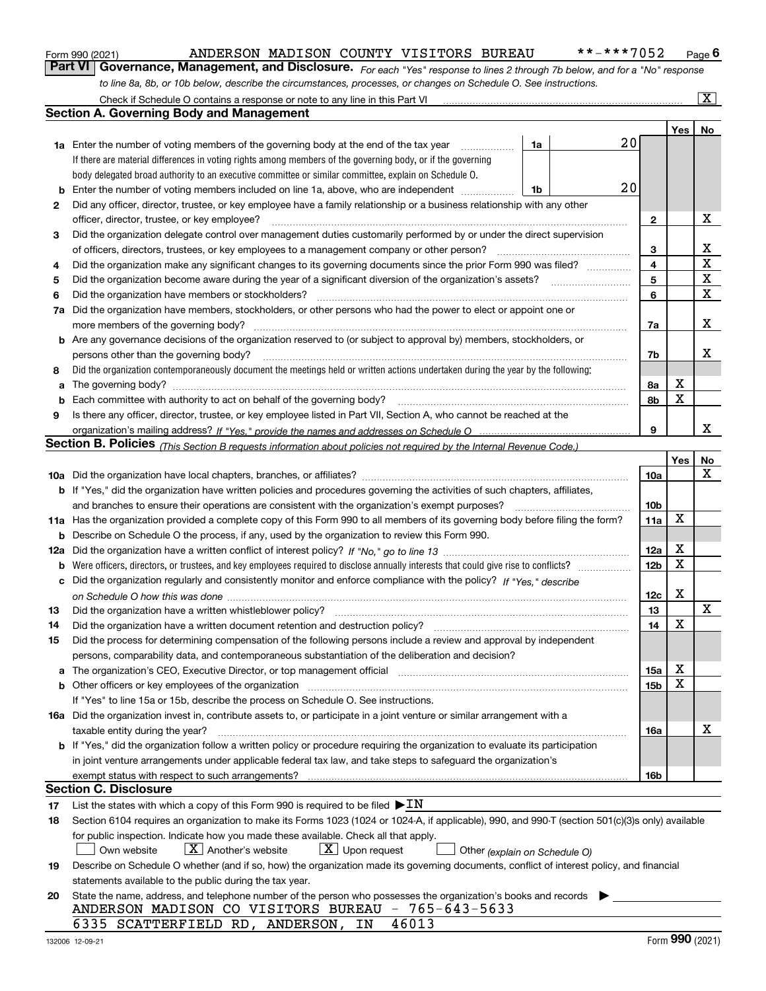|  | Form 990 (2021) |
|--|-----------------|
|  |                 |

### ANDERSON MADISON COUNTY VISITORS BUREAU \*\*-\*\*\*7052

*For each "Yes" response to lines 2 through 7b below, and for a "No" response to line 8a, 8b, or 10b below, describe the circumstances, processes, or changes on Schedule O. See instructions.* Form 990 (2021) **ANDERSON MADISON COUNTY VISITORS BUREAU** \*\*-\*\*\*7052 Page 6<br>**Part VI Governance, Management, and Disclosure.** For each "Yes" response to lines 2 through 7b below, and for a "No" response

|    | Check if Schedule O contains a response or note to any line in this Part VI                                                                                                                                                    |                 |         | $\vert$ X $\vert$ |
|----|--------------------------------------------------------------------------------------------------------------------------------------------------------------------------------------------------------------------------------|-----------------|---------|-------------------|
|    | Section A. Governing Body and Management                                                                                                                                                                                       |                 |         |                   |
|    |                                                                                                                                                                                                                                |                 | Yes $ $ | No                |
|    | 20<br>1a<br><b>1a</b> Enter the number of voting members of the governing body at the end of the tax year                                                                                                                      |                 |         |                   |
|    | If there are material differences in voting rights among members of the governing body, or if the governing                                                                                                                    |                 |         |                   |
|    | body delegated broad authority to an executive committee or similar committee, explain on Schedule O.                                                                                                                          |                 |         |                   |
| b  | 20<br>Enter the number of voting members included on line 1a, above, who are independent<br>1b                                                                                                                                 |                 |         |                   |
| 2  | Did any officer, director, trustee, or key employee have a family relationship or a business relationship with any other                                                                                                       |                 |         |                   |
|    | officer, director, trustee, or key employee?                                                                                                                                                                                   | 2               |         | x                 |
| 3  | Did the organization delegate control over management duties customarily performed by or under the direct supervision                                                                                                          |                 |         |                   |
|    | of officers, directors, trustees, or key employees to a management company or other person?                                                                                                                                    | 3               |         | х                 |
| 4  | Did the organization make any significant changes to its governing documents since the prior Form 990 was filed?                                                                                                               | 4               |         | $\mathbf X$       |
| 5  |                                                                                                                                                                                                                                | 5               |         | $\mathbf X$       |
| 6  | Did the organization have members or stockholders?                                                                                                                                                                             | 6               |         | $\mathbf X$       |
| 7a | Did the organization have members, stockholders, or other persons who had the power to elect or appoint one or                                                                                                                 |                 |         |                   |
|    | more members of the governing body?                                                                                                                                                                                            | 7a              |         | x                 |
|    | <b>b</b> Are any governance decisions of the organization reserved to (or subject to approval by) members, stockholders, or                                                                                                    |                 |         |                   |
|    | persons other than the governing body?                                                                                                                                                                                         | 7b              |         | х                 |
| 8  | Did the organization contemporaneously document the meetings held or written actions undertaken during the year by the following:                                                                                              |                 |         |                   |
| a  |                                                                                                                                                                                                                                | 8а              | х       |                   |
| b  | Each committee with authority to act on behalf of the governing body?                                                                                                                                                          | 8b              | X       |                   |
| 9  | Is there any officer, director, trustee, or key employee listed in Part VII, Section A, who cannot be reached at the                                                                                                           |                 |         |                   |
|    |                                                                                                                                                                                                                                | 9               |         | х                 |
|    | Section B. Policies <sub>(This Section B requests information about policies not required by the Internal Revenue Code.)</sub>                                                                                                 |                 |         |                   |
|    |                                                                                                                                                                                                                                |                 | Yes     | No                |
|    |                                                                                                                                                                                                                                | 10a             |         | Х                 |
|    | <b>b</b> If "Yes," did the organization have written policies and procedures governing the activities of such chapters, affiliates,                                                                                            |                 |         |                   |
|    | and branches to ensure their operations are consistent with the organization's exempt purposes?                                                                                                                                | 10 <sub>b</sub> |         |                   |
|    | 11a Has the organization provided a complete copy of this Form 990 to all members of its governing body before filing the form?                                                                                                | 11a             | Х       |                   |
|    | <b>b</b> Describe on Schedule O the process, if any, used by the organization to review this Form 990.                                                                                                                         |                 |         |                   |
|    |                                                                                                                                                                                                                                | 12a             | х       |                   |
|    |                                                                                                                                                                                                                                | 12 <sub>b</sub> | X       |                   |
|    | c Did the organization regularly and consistently monitor and enforce compliance with the policy? If "Yes," describe                                                                                                           |                 |         |                   |
|    |                                                                                                                                                                                                                                | 12c             | X       |                   |
| 13 | Did the organization have a written whistleblower policy?                                                                                                                                                                      | 13              |         | х                 |
| 14 | Did the organization have a written document retention and destruction policy?                                                                                                                                                 | 14              | X       |                   |
| 15 | Did the process for determining compensation of the following persons include a review and approval by independent                                                                                                             |                 |         |                   |
|    | persons, comparability data, and contemporaneous substantiation of the deliberation and decision?                                                                                                                              |                 |         |                   |
|    | a The organization's CEO, Executive Director, or top management official manufactured content content of the organization's CEO, Executive Director, or top management official manufactured content of the state of the state | 15a             | х       |                   |
|    | b Other officers or key employees of the organization manufactured content to the organization manufactured content of the organization manufactured content of the organization manufactured content of the organization manu | 15b             | x       |                   |
|    | If "Yes" to line 15a or 15b, describe the process on Schedule O. See instructions.                                                                                                                                             |                 |         |                   |
|    | 16a Did the organization invest in, contribute assets to, or participate in a joint venture or similar arrangement with a                                                                                                      |                 |         |                   |
|    | taxable entity during the year?                                                                                                                                                                                                | 16a             |         | x                 |
|    | b If "Yes," did the organization follow a written policy or procedure requiring the organization to evaluate its participation                                                                                                 |                 |         |                   |
|    | in joint venture arrangements under applicable federal tax law, and take steps to safeguard the organization's                                                                                                                 |                 |         |                   |
|    | exempt status with respect to such arrangements?                                                                                                                                                                               | 16b             |         |                   |
|    | <b>Section C. Disclosure</b>                                                                                                                                                                                                   |                 |         |                   |
| 17 | List the states with which a copy of this Form 990 is required to be filed $\blacktriangleright \underline{IN}$                                                                                                                |                 |         |                   |
| 18 | Section 6104 requires an organization to make its Forms 1023 (1024 or 1024-A, if applicable), 990, and 990-T (section 501(c)(3)s only) available                                                                               |                 |         |                   |
|    | for public inspection. Indicate how you made these available. Check all that apply.                                                                                                                                            |                 |         |                   |
|    | $\lfloor$ X $\rfloor$ Another's website<br>$X$ Upon request<br>Own website<br>Other (explain on Schedule O)                                                                                                                    |                 |         |                   |
| 19 | Describe on Schedule O whether (and if so, how) the organization made its governing documents, conflict of interest policy, and financial                                                                                      |                 |         |                   |
|    | statements available to the public during the tax year.                                                                                                                                                                        |                 |         |                   |
| 20 | State the name, address, and telephone number of the person who possesses the organization's books and records                                                                                                                 |                 |         |                   |
|    | ANDERSON MADISON CO VISITORS BUREAU - 765-643-5633                                                                                                                                                                             |                 |         |                   |
|    | 46013<br>6335 SCATTERFIELD RD, ANDERSON, IN                                                                                                                                                                                    |                 |         |                   |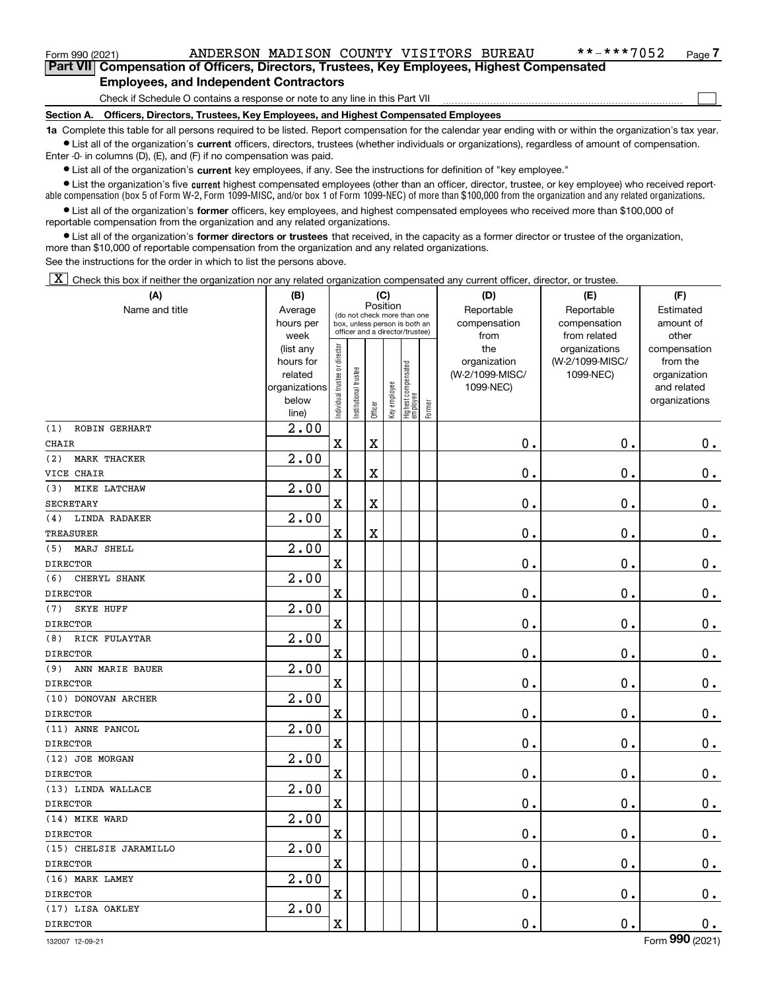### Form 990 (2021) ANDERSON MADISON COUNTY VISITORS BUREAU \*\*-\*\*\*7052 Page

 $\mathcal{L}^{\text{max}}$ 

**7Part VII Compensation of Officers, Directors, Trustees, Key Employees, Highest Compensated Employees, and Independent Contractors**

Check if Schedule O contains a response or note to any line in this Part VII

**Section A. Officers, Directors, Trustees, Key Employees, and Highest Compensated Employees**

**1a**  Complete this table for all persons required to be listed. Report compensation for the calendar year ending with or within the organization's tax year. **•** List all of the organization's current officers, directors, trustees (whether individuals or organizations), regardless of amount of compensation.

Enter -0- in columns (D), (E), and (F) if no compensation was paid.

 $\bullet$  List all of the organization's  $\sf current$  key employees, if any. See the instructions for definition of "key employee."

**•** List the organization's five current highest compensated employees (other than an officer, director, trustee, or key employee) who received reportable compensation (box 5 of Form W-2, Form 1099-MISC, and/or box 1 of Form 1099-NEC) of more than \$100,000 from the organization and any related organizations.

**•** List all of the organization's former officers, key employees, and highest compensated employees who received more than \$100,000 of reportable compensation from the organization and any related organizations.

**former directors or trustees**  ¥ List all of the organization's that received, in the capacity as a former director or trustee of the organization, more than \$10,000 of reportable compensation from the organization and any related organizations.

See the instructions for the order in which to list the persons above.

 $\boxed{\textbf{X}}$  Check this box if neither the organization nor any related organization compensated any current officer, director, or trustee.

| (A)                        | (B)                      |                               |                                                              | (C)                     |              |                                   |        | (D)                          | (E)                        | (F)                         |
|----------------------------|--------------------------|-------------------------------|--------------------------------------------------------------|-------------------------|--------------|-----------------------------------|--------|------------------------------|----------------------------|-----------------------------|
| Name and title             | Average<br>hours per     |                               | (do not check more than one<br>box, unless person is both an | Position                |              |                                   |        | Reportable<br>compensation   | Reportable<br>compensation | Estimated<br>amount of      |
|                            | week                     |                               | officer and a director/trustee)                              |                         |              |                                   |        | from                         | from related               | other                       |
|                            | (list any                |                               |                                                              |                         |              |                                   |        | the                          | organizations              | compensation                |
|                            | hours for                |                               |                                                              |                         |              |                                   |        | organization                 | (W-2/1099-MISC/            | from the                    |
|                            | related<br>organizations |                               |                                                              |                         |              |                                   |        | (W-2/1099-MISC/<br>1099-NEC) | 1099-NEC)                  | organization<br>and related |
|                            | below                    | ndividual trustee or director | nstitutional trustee                                         |                         |              |                                   |        |                              |                            | organizations               |
|                            | line)                    |                               |                                                              | Officer                 | Key employee | Highest compensated<br>  employee | Former |                              |                            |                             |
| ROBIN GERHART<br>(1)       | $\overline{2.00}$        |                               |                                                              |                         |              |                                   |        |                              |                            |                             |
| <b>CHAIR</b>               |                          | $\mathbf X$                   |                                                              | X                       |              |                                   |        | 0.                           | $\mathbf 0$ .              | $\mathbf 0$ .               |
| (2)<br><b>MARK THACKER</b> | 2.00                     |                               |                                                              |                         |              |                                   |        |                              |                            |                             |
| VICE CHAIR                 |                          | $\overline{\textbf{X}}$       |                                                              | X                       |              |                                   |        | $\mathbf 0$ .                | $\mathbf 0$ .              | $0_{.}$                     |
| MIKE LATCHAW<br>(3)        | 2.00                     |                               |                                                              |                         |              |                                   |        |                              |                            |                             |
| <b>SECRETARY</b>           |                          | $\mathbf x$                   |                                                              | X                       |              |                                   |        | $\mathbf 0$ .                | $\mathbf 0$ .              | $\mathbf 0$ .               |
| LINDA RADAKER<br>(4)       | 2.00                     |                               |                                                              |                         |              |                                   |        |                              |                            |                             |
| <b>TREASURER</b>           |                          | $\overline{\textbf{X}}$       |                                                              | $\overline{\textbf{X}}$ |              |                                   |        | $\mathbf 0$ .                | $\mathbf 0$ .              | $\mathbf 0$ .               |
| (5)<br>MARJ SHELL          | 2.00                     |                               |                                                              |                         |              |                                   |        |                              |                            |                             |
| <b>DIRECTOR</b>            |                          | $\mathbf X$                   |                                                              |                         |              |                                   |        | $\mathbf 0$ .                | $\mathbf 0$ .              | $\mathbf 0$ .               |
| (6)<br>CHERYL SHANK        | 2.00                     |                               |                                                              |                         |              |                                   |        |                              |                            |                             |
| <b>DIRECTOR</b>            |                          | $\mathbf X$                   |                                                              |                         |              |                                   |        | $\mathbf 0$ .                | $\mathbf 0$ .              | $\mathbf 0$ .               |
| (7)<br><b>SKYE HUFF</b>    | 2.00                     |                               |                                                              |                         |              |                                   |        |                              |                            |                             |
| <b>DIRECTOR</b>            |                          | $\mathbf X$                   |                                                              |                         |              |                                   |        | $\mathbf 0$ .                | $\mathbf 0$ .              | $\mathbf 0$ .               |
| RICK FULAYTAR<br>(8)       | 2.00                     |                               |                                                              |                         |              |                                   |        |                              |                            |                             |
| <b>DIRECTOR</b>            |                          | $\overline{\textbf{X}}$       |                                                              |                         |              |                                   |        | $\mathbf 0$ .                | $\mathbf 0$ .              | $\mathbf 0$ .               |
| (9)<br>ANN MARIE BAUER     | 2.00                     |                               |                                                              |                         |              |                                   |        |                              |                            |                             |
| <b>DIRECTOR</b>            |                          | $\mathbf X$                   |                                                              |                         |              |                                   |        | $\mathbf 0$ .                | $\mathbf 0$ .              | $\mathbf 0$ .               |
| (10) DONOVAN ARCHER        | 2.00                     |                               |                                                              |                         |              |                                   |        |                              |                            |                             |
| <b>DIRECTOR</b>            |                          | $\mathbf X$                   |                                                              |                         |              |                                   |        | $\mathbf 0$ .                | $\mathbf 0$ .              | $\mathbf 0$ .               |
| (11) ANNE PANCOL           | 2.00                     |                               |                                                              |                         |              |                                   |        |                              |                            |                             |
| <b>DIRECTOR</b>            |                          | $\mathbf X$                   |                                                              |                         |              |                                   |        | $\mathbf 0$ .                | $\mathbf 0$ .              | $\mathbf 0$ .               |
| (12) JOE MORGAN            | 2.00                     |                               |                                                              |                         |              |                                   |        |                              |                            |                             |
| <b>DIRECTOR</b>            |                          | $\overline{\textbf{X}}$       |                                                              |                         |              |                                   |        | $\mathbf 0$ .                | $\mathbf 0$ .              | $\mathbf 0$ .               |
| (13) LINDA WALLACE         | $\overline{2.00}$        |                               |                                                              |                         |              |                                   |        |                              |                            |                             |
| <b>DIRECTOR</b>            |                          | $\mathbf X$                   |                                                              |                         |              |                                   |        | $\mathbf 0$ .                | $\mathbf 0$ .              | $\mathbf 0$ .               |
| (14) MIKE WARD             | 2.00                     |                               |                                                              |                         |              |                                   |        |                              |                            |                             |
| <b>DIRECTOR</b>            |                          | $\overline{\textbf{X}}$       |                                                              |                         |              |                                   |        | $\mathbf 0$ .                | $\mathbf 0$ .              | $\mathbf 0$ .               |
| (15) CHELSIE JARAMILLO     | 2.00                     |                               |                                                              |                         |              |                                   |        |                              |                            |                             |
| <b>DIRECTOR</b>            |                          | $\mathbf X$                   |                                                              |                         |              |                                   |        | $\mathbf 0$ .                | $\mathbf 0$ .              | $\mathbf 0$ .               |
| (16) MARK LAMEY            | 2.00                     |                               |                                                              |                         |              |                                   |        |                              |                            |                             |
| <b>DIRECTOR</b>            |                          | $\overline{\textbf{X}}$       |                                                              |                         |              |                                   |        | $\mathbf 0$ .                | $\mathbf 0$ .              | $0_{.}$                     |
| (17) LISA OAKLEY           | 2.00                     |                               |                                                              |                         |              |                                   |        |                              |                            |                             |
| <b>DIRECTOR</b>            |                          | $\mathbf x$                   |                                                              |                         |              |                                   |        | $\mathbf 0$ .                | $\mathbf 0$ .              | $\mathbf 0$ .               |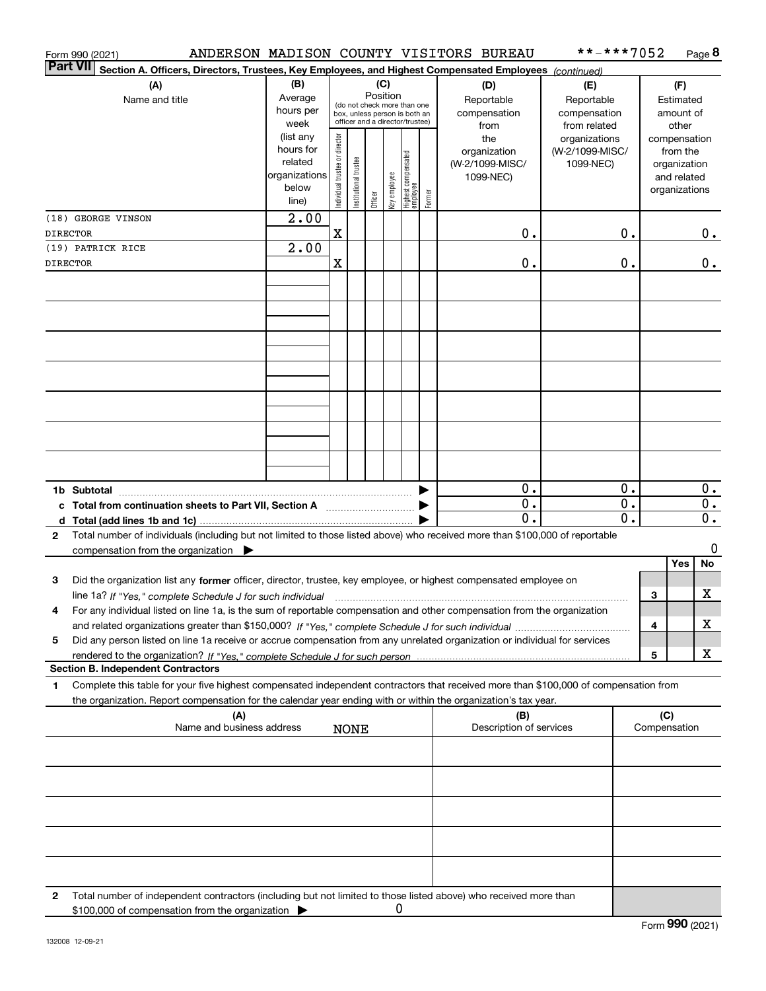| ANDERSON MADISON COUNTY VISITORS BUREAU<br>Form 990 (2021)                                                                                                                                                                                                  |                        |                                |                       |          |              |                                                              |        |                                 | **-***7052                   |                  |     |                          | Page 8           |
|-------------------------------------------------------------------------------------------------------------------------------------------------------------------------------------------------------------------------------------------------------------|------------------------|--------------------------------|-----------------------|----------|--------------|--------------------------------------------------------------|--------|---------------------------------|------------------------------|------------------|-----|--------------------------|------------------|
| <b>Part VII</b><br>Section A. Officers, Directors, Trustees, Key Employees, and Highest Compensated Employees (continued)                                                                                                                                   |                        |                                |                       |          |              |                                                              |        |                                 |                              |                  |     |                          |                  |
| (A)                                                                                                                                                                                                                                                         | (B)<br>Average         |                                |                       | Position | (C)          |                                                              |        | (D)                             | (E)                          |                  |     | (F)                      |                  |
| Name and title                                                                                                                                                                                                                                              | hours per              |                                |                       |          |              | (do not check more than one<br>box, unless person is both an |        | Reportable<br>compensation      | Reportable<br>compensation   |                  |     | Estimated<br>amount of   |                  |
|                                                                                                                                                                                                                                                             | week                   |                                |                       |          |              | officer and a director/trustee)                              |        | from                            | from related                 |                  |     | other                    |                  |
|                                                                                                                                                                                                                                                             | (list any<br>hours for |                                |                       |          |              |                                                              |        | the                             | organizations                |                  |     | compensation             |                  |
|                                                                                                                                                                                                                                                             | related                | Individual trustee or director |                       |          |              | Highest compensated<br> employee                             |        | organization<br>(W-2/1099-MISC/ | (W-2/1099-MISC/<br>1099-NEC) |                  |     | from the<br>organization |                  |
|                                                                                                                                                                                                                                                             | organizations          |                                |                       |          |              |                                                              |        | 1099-NEC)                       |                              |                  |     | and related              |                  |
|                                                                                                                                                                                                                                                             | below                  |                                | Institutional trustee |          | Key employee |                                                              | Former |                                 |                              |                  |     | organizations            |                  |
|                                                                                                                                                                                                                                                             | line)                  |                                |                       | Officer  |              |                                                              |        |                                 |                              |                  |     |                          |                  |
| (18) GEORGE VINSON                                                                                                                                                                                                                                          | $\overline{2.00}$      | X                              |                       |          |              |                                                              |        | 0.                              |                              |                  |     |                          |                  |
| <b>DIRECTOR</b><br>(19) PATRICK RICE                                                                                                                                                                                                                        | $\overline{2.00}$      |                                |                       |          |              |                                                              |        |                                 |                              | 0.               |     |                          | $0$ .            |
| <b>DIRECTOR</b>                                                                                                                                                                                                                                             |                        | $\mathbf X$                    |                       |          |              |                                                              |        | 0.                              |                              | 0.               |     |                          | $0$ .            |
|                                                                                                                                                                                                                                                             |                        |                                |                       |          |              |                                                              |        |                                 |                              |                  |     |                          |                  |
|                                                                                                                                                                                                                                                             |                        |                                |                       |          |              |                                                              |        |                                 |                              |                  |     |                          |                  |
|                                                                                                                                                                                                                                                             |                        |                                |                       |          |              |                                                              |        |                                 |                              |                  |     |                          |                  |
|                                                                                                                                                                                                                                                             |                        |                                |                       |          |              |                                                              |        |                                 |                              |                  |     |                          |                  |
|                                                                                                                                                                                                                                                             |                        |                                |                       |          |              |                                                              |        |                                 |                              |                  |     |                          |                  |
|                                                                                                                                                                                                                                                             |                        |                                |                       |          |              |                                                              |        |                                 |                              |                  |     |                          |                  |
|                                                                                                                                                                                                                                                             |                        |                                |                       |          |              |                                                              |        |                                 |                              |                  |     |                          |                  |
|                                                                                                                                                                                                                                                             |                        |                                |                       |          |              |                                                              |        |                                 |                              |                  |     |                          |                  |
|                                                                                                                                                                                                                                                             |                        |                                |                       |          |              |                                                              |        |                                 |                              |                  |     |                          |                  |
|                                                                                                                                                                                                                                                             |                        |                                |                       |          |              |                                                              |        |                                 |                              |                  |     |                          |                  |
|                                                                                                                                                                                                                                                             |                        |                                |                       |          |              |                                                              |        |                                 |                              |                  |     |                          |                  |
|                                                                                                                                                                                                                                                             |                        |                                |                       |          |              |                                                              |        |                                 |                              |                  |     |                          |                  |
|                                                                                                                                                                                                                                                             |                        |                                |                       |          |              |                                                              |        |                                 |                              |                  |     |                          |                  |
|                                                                                                                                                                                                                                                             |                        |                                |                       |          |              |                                                              |        | $\overline{0}$ .                |                              | 0.               |     |                          | $\overline{0}$ . |
| c Total from continuation sheets to Part VII, Section A                                                                                                                                                                                                     |                        |                                |                       |          |              |                                                              |        | 0.                              |                              | $\overline{0}$ . |     |                          | $\overline{0}$ . |
|                                                                                                                                                                                                                                                             |                        |                                |                       |          |              |                                                              |        | 0.                              |                              | 0.               |     |                          | $\overline{0}$ . |
| Total number of individuals (including but not limited to those listed above) who received more than \$100,000 of reportable<br>$\mathbf{2}$                                                                                                                |                        |                                |                       |          |              |                                                              |        |                                 |                              |                  |     |                          | 0                |
| compensation from the organization $\blacktriangleright$                                                                                                                                                                                                    |                        |                                |                       |          |              |                                                              |        |                                 |                              |                  |     | Yes                      | No               |
| 3<br>Did the organization list any former officer, director, trustee, key employee, or highest compensated employee on                                                                                                                                      |                        |                                |                       |          |              |                                                              |        |                                 |                              |                  |     |                          |                  |
| line 1a? If "Yes," complete Schedule J for such individual material content in the content of the Schedule J for such individual                                                                                                                            |                        |                                |                       |          |              |                                                              |        |                                 |                              |                  | З   |                          | х                |
| For any individual listed on line 1a, is the sum of reportable compensation and other compensation from the organization                                                                                                                                    |                        |                                |                       |          |              |                                                              |        |                                 |                              |                  |     |                          |                  |
|                                                                                                                                                                                                                                                             |                        |                                |                       |          |              |                                                              |        |                                 |                              |                  | 4   |                          | х                |
| Did any person listed on line 1a receive or accrue compensation from any unrelated organization or individual for services<br>5                                                                                                                             |                        |                                |                       |          |              |                                                              |        |                                 |                              |                  |     |                          |                  |
|                                                                                                                                                                                                                                                             |                        |                                |                       |          |              |                                                              |        |                                 |                              |                  | 5   |                          | х                |
| <b>Section B. Independent Contractors</b>                                                                                                                                                                                                                   |                        |                                |                       |          |              |                                                              |        |                                 |                              |                  |     |                          |                  |
| Complete this table for your five highest compensated independent contractors that received more than \$100,000 of compensation from<br>1<br>the organization. Report compensation for the calendar year ending with or within the organization's tax year. |                        |                                |                       |          |              |                                                              |        |                                 |                              |                  |     |                          |                  |
| (A)                                                                                                                                                                                                                                                         |                        |                                |                       |          |              |                                                              |        | (B)                             |                              |                  | (C) |                          |                  |
| Name and business address                                                                                                                                                                                                                                   |                        |                                | <b>NONE</b>           |          |              |                                                              |        | Description of services         |                              |                  |     | Compensation             |                  |
|                                                                                                                                                                                                                                                             |                        |                                |                       |          |              |                                                              |        |                                 |                              |                  |     |                          |                  |
|                                                                                                                                                                                                                                                             |                        |                                |                       |          |              |                                                              |        |                                 |                              |                  |     |                          |                  |
|                                                                                                                                                                                                                                                             |                        |                                |                       |          |              |                                                              |        |                                 |                              |                  |     |                          |                  |
|                                                                                                                                                                                                                                                             |                        |                                |                       |          |              |                                                              |        |                                 |                              |                  |     |                          |                  |
|                                                                                                                                                                                                                                                             |                        |                                |                       |          |              |                                                              |        |                                 |                              |                  |     |                          |                  |
|                                                                                                                                                                                                                                                             |                        |                                |                       |          |              |                                                              |        |                                 |                              |                  |     |                          |                  |
|                                                                                                                                                                                                                                                             |                        |                                |                       |          |              |                                                              |        |                                 |                              |                  |     |                          |                  |
|                                                                                                                                                                                                                                                             |                        |                                |                       |          |              |                                                              |        |                                 |                              |                  |     |                          |                  |
|                                                                                                                                                                                                                                                             |                        |                                |                       |          |              |                                                              |        |                                 |                              |                  |     |                          |                  |
| Total number of independent contractors (including but not limited to those listed above) who received more than<br>2                                                                                                                                       |                        |                                |                       |          |              |                                                              |        |                                 |                              |                  |     |                          |                  |
| \$100,000 of compensation from the organization                                                                                                                                                                                                             |                        |                                |                       |          | 0            |                                                              |        |                                 |                              |                  |     |                          |                  |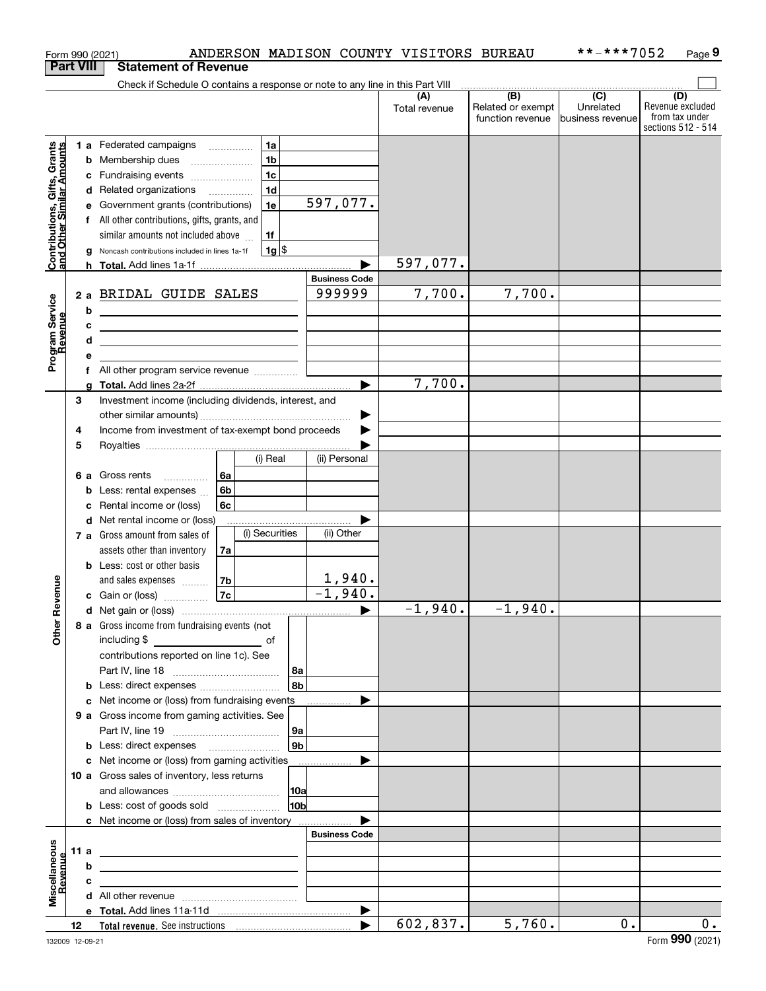|                                                           | Form 990 (2021)  |   |                                                                               |    |                |                    |                      | ANDERSON MADISON COUNTY VISITORS BUREAU |                                       | **-***7052                     | Page 9                             |
|-----------------------------------------------------------|------------------|---|-------------------------------------------------------------------------------|----|----------------|--------------------|----------------------|-----------------------------------------|---------------------------------------|--------------------------------|------------------------------------|
|                                                           | <b>Part VIII</b> |   | <b>Statement of Revenue</b>                                                   |    |                |                    |                      |                                         |                                       |                                |                                    |
|                                                           |                  |   | Check if Schedule O contains a response or note to any line in this Part VIII |    |                |                    |                      |                                         |                                       |                                |                                    |
|                                                           |                  |   |                                                                               |    |                |                    |                      | (A)                                     | $\overline{(\mathsf{B})}$             | $\overline{(C)}$               | (D)                                |
|                                                           |                  |   |                                                                               |    |                |                    |                      | Total revenue                           | Related or exempt<br>function revenue | Unrelated<br>Ibusiness revenue | Revenue excluded<br>from tax under |
|                                                           |                  |   |                                                                               |    |                |                    |                      |                                         |                                       |                                | sections 512 - 514                 |
|                                                           |                  |   | 1 a Federated campaigns                                                       |    | 1a             |                    |                      |                                         |                                       |                                |                                    |
|                                                           |                  |   | <b>b</b> Membership dues                                                      |    | 1 <sub>b</sub> |                    |                      |                                         |                                       |                                |                                    |
| Contributions, Gifts, Grants<br>and Other Similar Amounts |                  |   | c Fundraising events                                                          |    | 1 <sub>c</sub> |                    |                      |                                         |                                       |                                |                                    |
|                                                           |                  |   | d Related organizations                                                       |    | 1 <sub>d</sub> |                    |                      |                                         |                                       |                                |                                    |
|                                                           |                  |   | Government grants (contributions)                                             |    | 1e             |                    | 597,077.             |                                         |                                       |                                |                                    |
|                                                           |                  |   | f All other contributions, gifts, grants, and                                 |    |                |                    |                      |                                         |                                       |                                |                                    |
|                                                           |                  |   | similar amounts not included above                                            |    | 1f             |                    |                      |                                         |                                       |                                |                                    |
|                                                           |                  | g | Noncash contributions included in lines 1a-1f                                 |    | $1g$ \$        |                    |                      |                                         |                                       |                                |                                    |
|                                                           |                  |   |                                                                               |    |                |                    |                      | 597,077.                                |                                       |                                |                                    |
|                                                           |                  |   |                                                                               |    |                |                    | <b>Business Code</b> |                                         |                                       |                                |                                    |
|                                                           |                  |   | 2 a BRIDAL GUIDE SALES                                                        |    |                |                    | 999999               | 7,700.                                  | 7,700.                                |                                |                                    |
|                                                           |                  |   |                                                                               |    |                |                    |                      |                                         |                                       |                                |                                    |
|                                                           |                  | b | <u> 1989 - Johann Barn, amerikansk politiker (d. 1989)</u>                    |    |                |                    |                      |                                         |                                       |                                |                                    |
|                                                           |                  | c | <u> 1989 - Johann Stein, mars an deutscher Stein († 1989)</u>                 |    |                |                    |                      |                                         |                                       |                                |                                    |
|                                                           |                  | d | <u> 1989 - Johann Stein, mars an deutscher Stein († 1958)</u>                 |    |                |                    |                      |                                         |                                       |                                |                                    |
| Program Service<br>Revenue                                |                  | е |                                                                               |    |                |                    |                      |                                         |                                       |                                |                                    |
|                                                           |                  |   | All other program service revenue                                             |    |                |                    |                      | 7,700.                                  |                                       |                                |                                    |
|                                                           |                  | a |                                                                               |    |                |                    |                      |                                         |                                       |                                |                                    |
|                                                           | 3                |   | Investment income (including dividends, interest, and                         |    |                |                    |                      |                                         |                                       |                                |                                    |
|                                                           |                  |   |                                                                               |    |                |                    |                      |                                         |                                       |                                |                                    |
|                                                           | 4                |   | Income from investment of tax-exempt bond proceeds                            |    |                |                    |                      |                                         |                                       |                                |                                    |
|                                                           | 5                |   |                                                                               |    |                |                    |                      |                                         |                                       |                                |                                    |
|                                                           |                  |   |                                                                               |    | (i) Real       |                    | (ii) Personal        |                                         |                                       |                                |                                    |
|                                                           |                  |   | 6 a Gross rents<br>.                                                          | 6a |                |                    |                      |                                         |                                       |                                |                                    |
|                                                           |                  | b | Less: rental expenses                                                         | 6b |                |                    |                      |                                         |                                       |                                |                                    |
|                                                           |                  | с | Rental income or (loss)                                                       | 6c |                |                    |                      |                                         |                                       |                                |                                    |
|                                                           |                  |   | d Net rental income or (loss)                                                 |    |                |                    |                      |                                         |                                       |                                |                                    |
|                                                           |                  |   | 7 a Gross amount from sales of                                                |    | (i) Securities |                    | (ii) Other           |                                         |                                       |                                |                                    |
|                                                           |                  |   | assets other than inventory                                                   | 7a |                |                    |                      |                                         |                                       |                                |                                    |
|                                                           |                  |   | <b>b</b> Less: cost or other basis                                            |    |                |                    |                      |                                         |                                       |                                |                                    |
|                                                           |                  |   | and sales expenses                                                            | 7b |                |                    | 1,940.               |                                         |                                       |                                |                                    |
| venue                                                     |                  |   | <b>c</b> Gain or (loss) $\ldots$                                              | 7c |                |                    | $-1,940.$            |                                         |                                       |                                |                                    |
|                                                           |                  |   |                                                                               |    |                |                    |                      | $-1,940.$                               | $-1,940.$                             |                                |                                    |
| Other <sub>R</sub>                                        |                  |   | 8 a Gross income from fundraising events (not                                 |    |                |                    |                      |                                         |                                       |                                |                                    |
|                                                           |                  |   | including \$                                                                  |    |                |                    |                      |                                         |                                       |                                |                                    |
|                                                           |                  |   | contributions reported on line 1c). See                                       |    |                |                    |                      |                                         |                                       |                                |                                    |
|                                                           |                  |   |                                                                               |    |                |                    |                      |                                         |                                       |                                |                                    |
|                                                           |                  |   | <b>b</b> Less: direct expenses <i></i>                                        |    |                | 8b                 |                      |                                         |                                       |                                |                                    |
|                                                           |                  |   | c Net income or (loss) from fundraising events                                |    |                |                    |                      |                                         |                                       |                                |                                    |
|                                                           |                  |   | 9 a Gross income from gaming activities. See                                  |    |                |                    |                      |                                         |                                       |                                |                                    |
|                                                           |                  |   |                                                                               |    |                | 9a                 |                      |                                         |                                       |                                |                                    |
|                                                           |                  |   | <b>b</b> Less: direct expenses <b>manually</b>                                |    |                | $ g_{\mathsf{b}} $ |                      |                                         |                                       |                                |                                    |
|                                                           |                  |   | c Net income or (loss) from gaming activities                                 |    |                |                    | ▶                    |                                         |                                       |                                |                                    |
|                                                           |                  |   | 10 a Gross sales of inventory, less returns                                   |    |                |                    |                      |                                         |                                       |                                |                                    |
|                                                           |                  |   |                                                                               |    |                |                    |                      |                                         |                                       |                                |                                    |
|                                                           |                  |   |                                                                               |    |                | 10 <sub>b</sub>    |                      |                                         |                                       |                                |                                    |
|                                                           |                  |   | c Net income or (loss) from sales of inventory                                |    |                |                    |                      |                                         |                                       |                                |                                    |
|                                                           |                  |   |                                                                               |    |                |                    | <b>Business Code</b> |                                         |                                       |                                |                                    |
|                                                           | 11 a             |   | <u> 1989 - Johann Stein, mars an deutscher Stein († 1958)</u>                 |    |                |                    |                      |                                         |                                       |                                |                                    |
|                                                           |                  | b |                                                                               |    |                |                    |                      |                                         |                                       |                                |                                    |
| Miscellaneous<br>Revenue                                  |                  | c |                                                                               |    |                |                    |                      |                                         |                                       |                                |                                    |
|                                                           |                  |   |                                                                               |    |                |                    |                      |                                         |                                       |                                |                                    |
|                                                           |                  |   |                                                                               |    |                |                    | ▶                    |                                         |                                       |                                |                                    |
|                                                           | 12               |   |                                                                               |    |                |                    |                      | 602,837.                                | 5,760.                                | 0.                             | 0.                                 |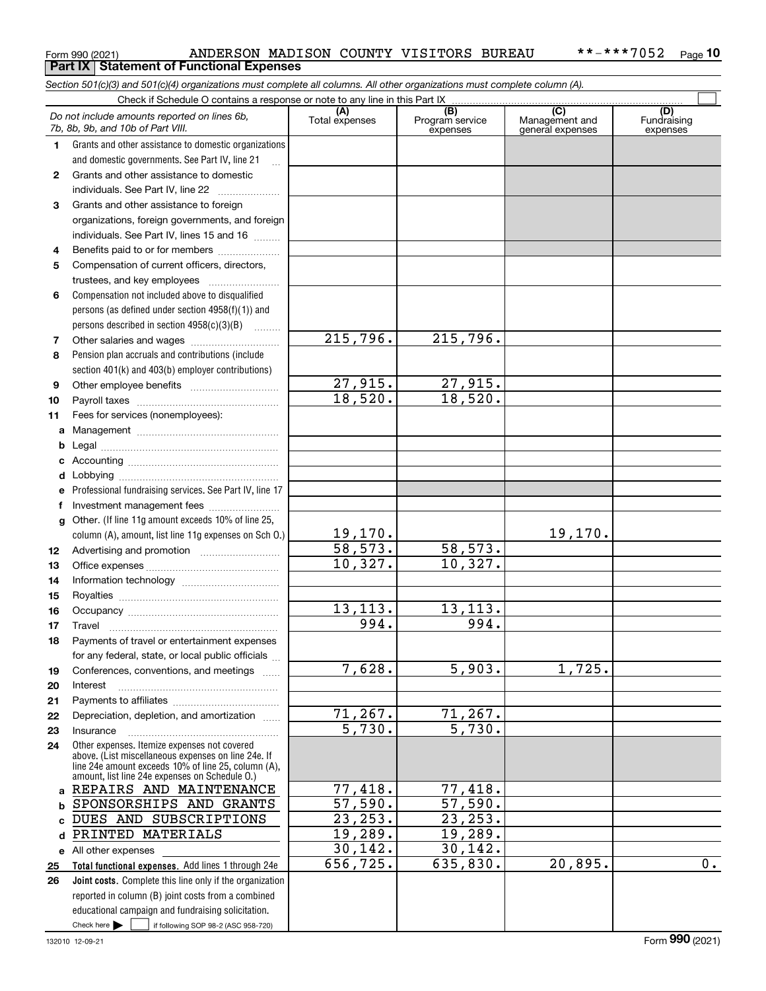|              | Section 501(c)(3) and 501(c)(4) organizations must complete all columns. All other organizations must complete column (A). |                        |                                    |                                    |                         |
|--------------|----------------------------------------------------------------------------------------------------------------------------|------------------------|------------------------------------|------------------------------------|-------------------------|
|              | Check if Schedule O contains a response or note to any line in this Part IX                                                | (A)                    |                                    |                                    | (D)                     |
|              | Do not include amounts reported on lines 6b,<br>7b, 8b, 9b, and 10b of Part VIII.                                          | Total expenses         | (B)<br>Program service<br>expenses | Management and<br>general expenses | Fundraising<br>expenses |
| 1.           | Grants and other assistance to domestic organizations                                                                      |                        |                                    |                                    |                         |
|              | and domestic governments. See Part IV, line 21                                                                             |                        |                                    |                                    |                         |
| $\mathbf{2}$ | Grants and other assistance to domestic                                                                                    |                        |                                    |                                    |                         |
|              | individuals. See Part IV, line 22                                                                                          |                        |                                    |                                    |                         |
| 3            | Grants and other assistance to foreign                                                                                     |                        |                                    |                                    |                         |
|              | organizations, foreign governments, and foreign                                                                            |                        |                                    |                                    |                         |
|              | individuals. See Part IV, lines 15 and 16                                                                                  |                        |                                    |                                    |                         |
| 4            | Benefits paid to or for members                                                                                            |                        |                                    |                                    |                         |
| 5            | Compensation of current officers, directors,                                                                               |                        |                                    |                                    |                         |
|              | trustees, and key employees                                                                                                |                        |                                    |                                    |                         |
| 6            | Compensation not included above to disqualified                                                                            |                        |                                    |                                    |                         |
|              | persons (as defined under section 4958(f)(1)) and                                                                          |                        |                                    |                                    |                         |
|              | persons described in section 4958(c)(3)(B)<br>a matematika                                                                 |                        |                                    |                                    |                         |
| 7            |                                                                                                                            | $\overline{215,796}$ . | 215,796.                           |                                    |                         |
| 8            | Pension plan accruals and contributions (include                                                                           |                        |                                    |                                    |                         |
|              | section 401(k) and 403(b) employer contributions)                                                                          |                        |                                    |                                    |                         |
| 9            |                                                                                                                            | 27,915.                | <u>27,915.</u>                     |                                    |                         |
| 10           |                                                                                                                            | 18,520.                | 18,520.                            |                                    |                         |
| 11           | Fees for services (nonemployees):                                                                                          |                        |                                    |                                    |                         |
| a            |                                                                                                                            |                        |                                    |                                    |                         |
| b            |                                                                                                                            |                        |                                    |                                    |                         |
| c            |                                                                                                                            |                        |                                    |                                    |                         |
| d            |                                                                                                                            |                        |                                    |                                    |                         |
| е            | Professional fundraising services. See Part IV, line 17                                                                    |                        |                                    |                                    |                         |
| f            | Investment management fees                                                                                                 |                        |                                    |                                    |                         |
| g            | Other. (If line 11g amount exceeds 10% of line 25,                                                                         |                        |                                    | 19, 170.                           |                         |
|              | column (A), amount, list line 11g expenses on Sch 0.)                                                                      | 19,170.<br>58,573.     | 58,573.                            |                                    |                         |
| 12           |                                                                                                                            | 10,327.                | 10,327.                            |                                    |                         |
| 13           |                                                                                                                            |                        |                                    |                                    |                         |
| 14           |                                                                                                                            |                        |                                    |                                    |                         |
| 15           |                                                                                                                            | 13,113.                | 13,113.                            |                                    |                         |
| 16           |                                                                                                                            | 994.                   | 994.                               |                                    |                         |
| 17<br>18     | Travel<br>Payments of travel or entertainment expenses                                                                     |                        |                                    |                                    |                         |
|              | for any federal, state, or local public officials                                                                          |                        |                                    |                                    |                         |
| 19           | Conferences, conventions, and meetings                                                                                     | 7,628.                 | 5,903.                             | 1,725.                             |                         |
| 20           | Interest                                                                                                                   |                        |                                    |                                    |                         |
| 21           |                                                                                                                            |                        |                                    |                                    |                         |
| 22           | Depreciation, depletion, and amortization                                                                                  | 71, 267.               |                                    |                                    |                         |
| 23           | Insurance                                                                                                                  | $\overline{5,730}$ .   | $\frac{71,267}{5,730}$ .           |                                    |                         |
| 24           | Other expenses. Itemize expenses not covered                                                                               |                        |                                    |                                    |                         |
|              | above. (List miscellaneous expenses on line 24e. If                                                                        |                        |                                    |                                    |                         |
|              | line 24e amount exceeds 10% of line 25, column (A),<br>amount, list line 24e expenses on Schedule O.)                      |                        |                                    |                                    |                         |
| a            | REPAIRS AND MAINTENANCE                                                                                                    | 77,418.                | 77,418.                            |                                    |                         |
| b            | SPONSORSHIPS AND GRANTS                                                                                                    | 57,590.                | 57,590.                            |                                    |                         |
| C            | DUES AND SUBSCRIPTIONS                                                                                                     | 23,253.                | 23, 253.                           |                                    |                         |
| d            | PRINTED MATERIALS                                                                                                          | 19,289.                | 19,289.                            |                                    |                         |
| е            | All other expenses                                                                                                         | 30,142.                | 30,142.                            |                                    |                         |
| 25           | Total functional expenses. Add lines 1 through 24e                                                                         | 656, 725.              | 635,830.                           | 20,895.                            | 0.                      |
| 26           | <b>Joint costs.</b> Complete this line only if the organization                                                            |                        |                                    |                                    |                         |
|              | reported in column (B) joint costs from a combined                                                                         |                        |                                    |                                    |                         |
|              | educational campaign and fundraising solicitation.                                                                         |                        |                                    |                                    |                         |
|              | Check here $\blacktriangleright$<br>if following SOP 98-2 (ASC 958-720)                                                    |                        |                                    |                                    |                         |

Form 990 (2021) Page **10 Part IX Statement of Functional Expenses** ANDERSON MADISON COUNTY VISITORS BUREAU \*\*-\*\*\*7052

*Section 501(c)(3) and 501(c)(4) organizations must complete all columns. All other organizations must complete column (A).*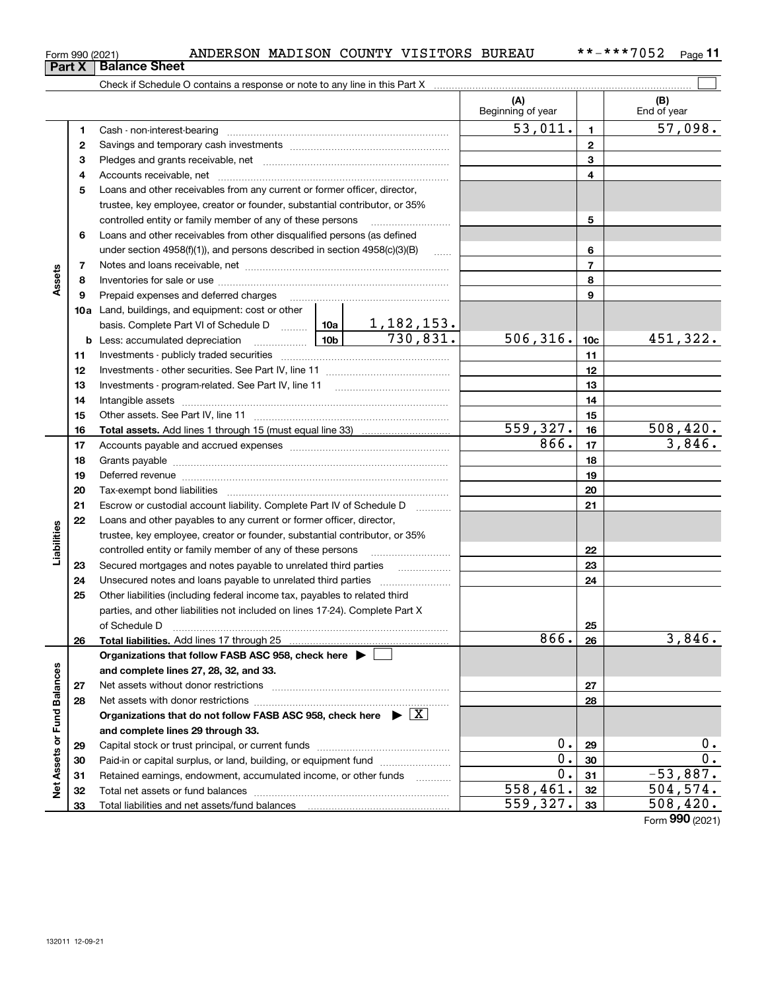**Net Assets or Fund Balances**

Net Assets or Fund Balances

|               | Form 990 (2021) | ANDERSON MADISON COUNTY VISITORS BUREAU                                                                                                                                                                                        |  |        |                          |                 | **-***7052<br>Page 11 |
|---------------|-----------------|--------------------------------------------------------------------------------------------------------------------------------------------------------------------------------------------------------------------------------|--|--------|--------------------------|-----------------|-----------------------|
|               | <b>Part X</b>   | <b>Balance Sheet</b>                                                                                                                                                                                                           |  |        |                          |                 |                       |
|               |                 | Check if Schedule O contains a response or note to any line in this Part X                                                                                                                                                     |  |        |                          |                 |                       |
|               |                 |                                                                                                                                                                                                                                |  |        | (A)<br>Beginning of year |                 | (B)<br>End of year    |
|               | 1               |                                                                                                                                                                                                                                |  |        | $\overline{53,011}$ .    | $\mathbf{1}$    | 57,098.               |
|               | 2               |                                                                                                                                                                                                                                |  |        |                          | $\mathbf{2}$    |                       |
|               | 3               |                                                                                                                                                                                                                                |  |        |                          | 3               |                       |
|               | 4               |                                                                                                                                                                                                                                |  |        |                          | 4               |                       |
|               | 5               | Loans and other receivables from any current or former officer, director,                                                                                                                                                      |  |        |                          |                 |                       |
|               |                 | trustee, key employee, creator or founder, substantial contributor, or 35%                                                                                                                                                     |  |        |                          |                 |                       |
|               |                 | controlled entity or family member of any of these persons                                                                                                                                                                     |  |        |                          | 5               |                       |
|               | 6               | Loans and other receivables from other disqualified persons (as defined                                                                                                                                                        |  |        |                          |                 |                       |
|               |                 | under section $4958(f)(1)$ , and persons described in section $4958(c)(3)(B)$                                                                                                                                                  |  | $\sim$ |                          | 6               |                       |
|               | 7               |                                                                                                                                                                                                                                |  |        |                          | $\overline{7}$  |                       |
| Assets        | 8               |                                                                                                                                                                                                                                |  |        |                          | 8               |                       |
|               | 9               |                                                                                                                                                                                                                                |  |        |                          | 9               |                       |
|               |                 | <b>10a</b> Land, buildings, and equipment: cost or other                                                                                                                                                                       |  |        |                          |                 |                       |
|               |                 |                                                                                                                                                                                                                                |  |        |                          |                 |                       |
|               |                 |                                                                                                                                                                                                                                |  |        | 506, 316.                | 10 <sub>c</sub> | 451,322.              |
|               | 11              |                                                                                                                                                                                                                                |  |        |                          | 11              |                       |
|               | 12              |                                                                                                                                                                                                                                |  |        |                          | 12              |                       |
|               | 13              |                                                                                                                                                                                                                                |  |        |                          | 13              |                       |
|               | 14              |                                                                                                                                                                                                                                |  |        | 14<br>15                 |                 |                       |
|               | 15<br>16        |                                                                                                                                                                                                                                |  |        | 559,327.                 | 16              | 508,420.              |
|               | 17              |                                                                                                                                                                                                                                |  |        | 866.                     | 17              | 3,846.                |
|               | 18              |                                                                                                                                                                                                                                |  |        |                          | 18              |                       |
|               | 19              | Deferred revenue material contracts and a contract of the contract of the contract of the contract of the contract of the contract of the contract of the contract of the contract of the contract of the contract of the cont |  |        |                          | 19              |                       |
|               | 20              |                                                                                                                                                                                                                                |  |        |                          | 20              |                       |
|               | 21              | Escrow or custodial account liability. Complete Part IV of Schedule D                                                                                                                                                          |  |        |                          | 21              |                       |
|               | 22              | Loans and other payables to any current or former officer, director,                                                                                                                                                           |  |        |                          |                 |                       |
|               |                 | trustee, key employee, creator or founder, substantial contributor, or 35%                                                                                                                                                     |  |        |                          |                 |                       |
| Liabilities   |                 | controlled entity or family member of any of these persons                                                                                                                                                                     |  |        |                          | 22              |                       |
|               | 23              | Secured mortgages and notes payable to unrelated third parties                                                                                                                                                                 |  |        |                          | 23              |                       |
|               | 24              |                                                                                                                                                                                                                                |  |        |                          | 24              |                       |
|               | 25              | Other liabilities (including federal income tax, payables to related third                                                                                                                                                     |  |        |                          |                 |                       |
|               |                 | parties, and other liabilities not included on lines 17-24). Complete Part X                                                                                                                                                   |  |        |                          |                 |                       |
|               |                 | of Schedule D                                                                                                                                                                                                                  |  |        | 25                       |                 |                       |
|               | 26              |                                                                                                                                                                                                                                |  |        | 866.                     | 26              | 3,846.                |
|               |                 | Organizations that follow FASB ASC 958, check here $\blacktriangleright$                                                                                                                                                       |  |        |                          |                 |                       |
| Fund Balances |                 | and complete lines 27, 28, 32, and 33.                                                                                                                                                                                         |  |        |                          |                 |                       |
|               | 27              |                                                                                                                                                                                                                                |  |        |                          | 27              |                       |
|               | 28              |                                                                                                                                                                                                                                |  |        |                          | 28              |                       |
|               |                 | Organizations that do not follow FASB ASC 958, check here $\triangleright \lfloor X \rfloor$                                                                                                                                   |  |        |                          |                 |                       |
|               |                 | and complete lines 29 through 33.                                                                                                                                                                                              |  |        |                          |                 |                       |

Capital stock or trust principal, or current funds ~~~~~~~~~~~~~~~ Paid-in or capital surplus, or land, building, or equipment fund www.commun.com Retained earnings, endowment, accumulated income, or other funds we have all the Total net assets or fund balances ~~~~~~~~~~~~~~~~~~~~~~

Total liabilities and net assets/fund balances

Form (2021) **990**

**29**0. 0.

 $\overline{0.}$  30  $\overline{0.}$  $0.31$   $-53,887.$ 

 $558,461.$   $32$  504,574.  $559,327.$   $33$  508,420.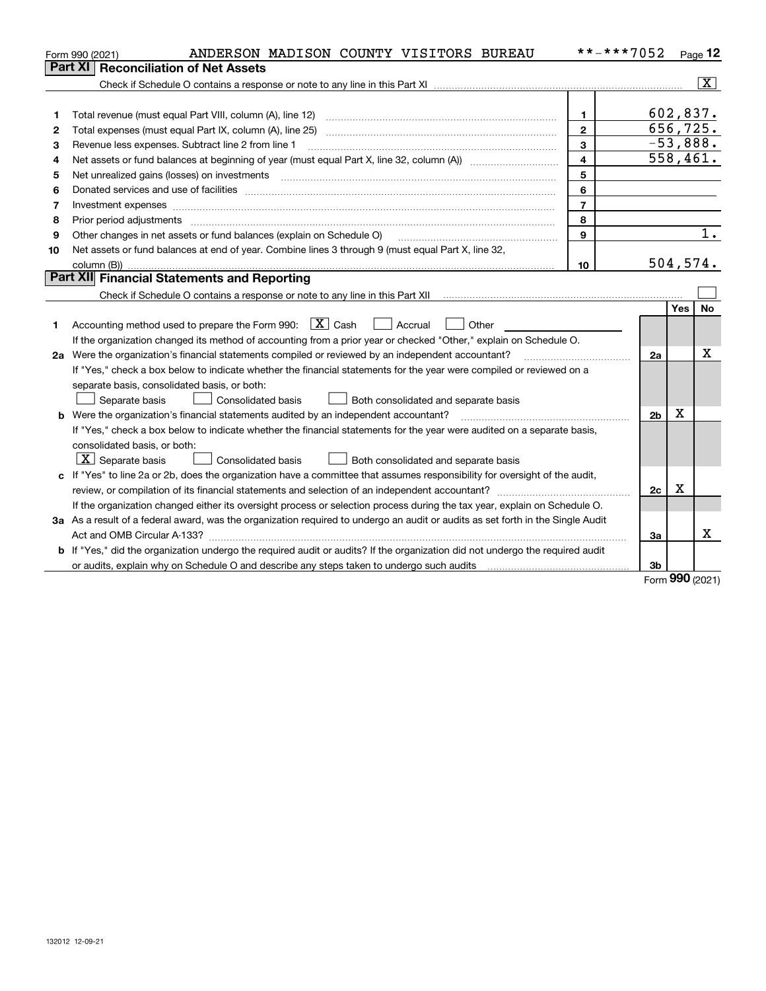|    | ANDERSON MADISON COUNTY VISITORS BUREAU<br>Form 990 (2021)                                                                      |                         | **-***7052     |     | Page 12                 |
|----|---------------------------------------------------------------------------------------------------------------------------------|-------------------------|----------------|-----|-------------------------|
|    | <b>Reconciliation of Net Assets</b><br>Part XI                                                                                  |                         |                |     |                         |
|    |                                                                                                                                 |                         |                |     | $\overline{\mathbf{x}}$ |
|    |                                                                                                                                 |                         |                |     |                         |
| 1  | Total revenue (must equal Part VIII, column (A), line 12)                                                                       | $\mathbf{1}$            | 602,837.       |     |                         |
| 2  | Total expenses (must equal Part IX, column (A), line 25)                                                                        | $\mathbf{2}$            | 656,725.       |     |                         |
| З  | Revenue less expenses. Subtract line 2 from line 1                                                                              | 3                       |                |     | $-53,888.$              |
| 4  | Net assets or fund balances at beginning of year (must equal Part X, line 32, column (A)) mature matures                        | $\overline{\mathbf{4}}$ |                |     | 558,461.                |
| 5  | Net unrealized gains (losses) on investments [11] matter continuum matter is a set of the set of the set of the                 | 5                       |                |     |                         |
| 6  |                                                                                                                                 | 6                       |                |     |                         |
| 7  | Investment expenses www.communication.com/multiple/expenses/communications/communications/communications/                       | $\overline{7}$          |                |     |                         |
| 8  | Prior period adjustments                                                                                                        | 8                       |                |     |                         |
| 9  | Other changes in net assets or fund balances (explain on Schedule O)                                                            | 9                       |                |     | 1.                      |
| 10 | Net assets or fund balances at end of year. Combine lines 3 through 9 (must equal Part X, line 32,                              |                         |                |     |                         |
|    | column (B))                                                                                                                     | 10                      |                |     | 504, 574.               |
|    | Part XII Financial Statements and Reporting                                                                                     |                         |                |     |                         |
|    |                                                                                                                                 |                         |                |     |                         |
|    |                                                                                                                                 |                         |                | Yes | <b>No</b>               |
| 1  | Accounting method used to prepare the Form 990: $X$ Cash<br>  Accrual<br>Other                                                  |                         |                |     |                         |
|    | If the organization changed its method of accounting from a prior year or checked "Other," explain on Schedule O.               |                         |                |     |                         |
|    | 2a Were the organization's financial statements compiled or reviewed by an independent accountant?                              |                         | 2a             |     | х                       |
|    | If "Yes," check a box below to indicate whether the financial statements for the year were compiled or reviewed on a            |                         |                |     |                         |
|    | separate basis, consolidated basis, or both:                                                                                    |                         |                |     |                         |
|    | Separate basis<br>Consolidated basis<br>Both consolidated and separate basis                                                    |                         |                |     |                         |
|    | <b>b</b> Were the organization's financial statements audited by an independent accountant?                                     |                         | 2 <sub>b</sub> | Χ   |                         |
|    | If "Yes," check a box below to indicate whether the financial statements for the year were audited on a separate basis,         |                         |                |     |                         |
|    | consolidated basis, or both:                                                                                                    |                         |                |     |                         |
|    | $X$ Separate basis<br><b>Consolidated basis</b><br>Both consolidated and separate basis                                         |                         |                |     |                         |
| c. | If "Yes" to line 2a or 2b, does the organization have a committee that assumes responsibility for oversight of the audit,       |                         |                |     |                         |
|    |                                                                                                                                 |                         | 2c             | х   |                         |
|    | If the organization changed either its oversight process or selection process during the tax year, explain on Schedule O.       |                         |                |     |                         |
|    | 3a As a result of a federal award, was the organization required to undergo an audit or audits as set forth in the Single Audit |                         |                |     |                         |
|    |                                                                                                                                 |                         | За             |     | x                       |
|    | b If "Yes," did the organization undergo the required audit or audits? If the organization did not undergo the required audit   |                         |                |     |                         |
|    |                                                                                                                                 |                         | 3b             |     |                         |

Form (2021) **990**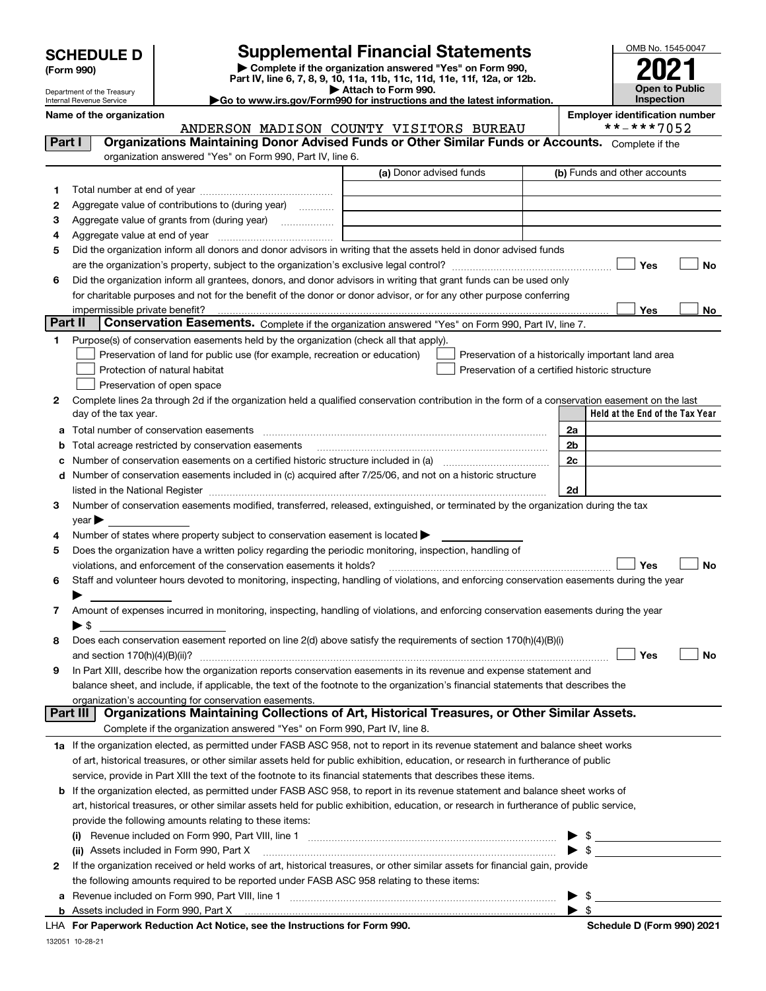Department of the Treasury Internal Revenue Service

**(Form 990)**

## **SCHEDULE D Supplemental Financial Statements**

**| Complete if the organization answered "Yes" on Form 990, Part IV, line 6, 7, 8, 9, 10, 11a, 11b, 11c, 11d, 11e, 11f, 12a, or 12b. | Attach to Form 990.** OMB No. 1545-0047 **Open to Public Inspection2021**

**|Go to www.irs.gov/Form990 for instructions and the latest information.**

### **Name of the organization**<br>**ANDERSON MADTSON COUNTY VISITORS BUREAU #\*-\*\*7052** ANDERSON MADISON COUNTY VISITORS BUREAU

| Part I  | Organizations Maintaining Donor Advised Funds or Other Similar Funds or Accounts. Complete if the                                                                                                                             |                         |                                                    |  |  |  |  |  |
|---------|-------------------------------------------------------------------------------------------------------------------------------------------------------------------------------------------------------------------------------|-------------------------|----------------------------------------------------|--|--|--|--|--|
|         | organization answered "Yes" on Form 990, Part IV, line 6.                                                                                                                                                                     |                         |                                                    |  |  |  |  |  |
|         |                                                                                                                                                                                                                               | (a) Donor advised funds | (b) Funds and other accounts                       |  |  |  |  |  |
| 1.      |                                                                                                                                                                                                                               |                         |                                                    |  |  |  |  |  |
| 2       | Aggregate value of contributions to (during year)                                                                                                                                                                             |                         |                                                    |  |  |  |  |  |
| з       | Aggregate value of grants from (during year)                                                                                                                                                                                  |                         |                                                    |  |  |  |  |  |
| 4       |                                                                                                                                                                                                                               |                         |                                                    |  |  |  |  |  |
| 5       | Did the organization inform all donors and donor advisors in writing that the assets held in donor advised funds                                                                                                              |                         |                                                    |  |  |  |  |  |
|         | are the organization's property, subject to the organization's exclusive legal control?                                                                                                                                       |                         | Yes<br>No                                          |  |  |  |  |  |
| 6       | Did the organization inform all grantees, donors, and donor advisors in writing that grant funds can be used only                                                                                                             |                         |                                                    |  |  |  |  |  |
|         | for charitable purposes and not for the benefit of the donor or donor advisor, or for any other purpose conferring                                                                                                            |                         |                                                    |  |  |  |  |  |
|         | impermissible private benefit?                                                                                                                                                                                                |                         | Yes<br>No                                          |  |  |  |  |  |
| Part II | Conservation Easements. Complete if the organization answered "Yes" on Form 990, Part IV, line 7.                                                                                                                             |                         |                                                    |  |  |  |  |  |
| 1.      | Purpose(s) of conservation easements held by the organization (check all that apply).                                                                                                                                         |                         |                                                    |  |  |  |  |  |
|         | Preservation of land for public use (for example, recreation or education)                                                                                                                                                    |                         | Preservation of a historically important land area |  |  |  |  |  |
|         | Protection of natural habitat<br>Preservation of a certified historic structure                                                                                                                                               |                         |                                                    |  |  |  |  |  |
|         | Preservation of open space                                                                                                                                                                                                    |                         |                                                    |  |  |  |  |  |
| 2       | Complete lines 2a through 2d if the organization held a qualified conservation contribution in the form of a conservation easement on the last                                                                                |                         |                                                    |  |  |  |  |  |
|         | day of the tax year.                                                                                                                                                                                                          |                         | Held at the End of the Tax Year                    |  |  |  |  |  |
|         | a Total number of conservation easements                                                                                                                                                                                      |                         | 2a                                                 |  |  |  |  |  |
|         | <b>b</b> Total acreage restricted by conservation easements                                                                                                                                                                   |                         | 2b                                                 |  |  |  |  |  |
|         | c Number of conservation easements on a certified historic structure included in (a) manufacture of conservation                                                                                                              |                         | 2c                                                 |  |  |  |  |  |
|         | d Number of conservation easements included in (c) acquired after 7/25/06, and not on a historic structure                                                                                                                    |                         |                                                    |  |  |  |  |  |
|         | listed in the National Register [11, 1200] [12] The National Register [11, 1200] [12] The National Register [11, 1200] [12] The National Register [11, 1200] [12] The National Register [11, 1200] [12] The National Register |                         | 2d                                                 |  |  |  |  |  |
| 3       | Number of conservation easements modified, transferred, released, extinguished, or terminated by the organization during the tax                                                                                              |                         |                                                    |  |  |  |  |  |
|         | $year \blacktriangleright$                                                                                                                                                                                                    |                         |                                                    |  |  |  |  |  |
| 4       | Number of states where property subject to conservation easement is located >                                                                                                                                                 |                         |                                                    |  |  |  |  |  |
| 5       | Does the organization have a written policy regarding the periodic monitoring, inspection, handling of                                                                                                                        |                         |                                                    |  |  |  |  |  |
|         | violations, and enforcement of the conservation easements it holds?                                                                                                                                                           |                         | <b>No</b><br>Yes                                   |  |  |  |  |  |
| 6       | Staff and volunteer hours devoted to monitoring, inspecting, handling of violations, and enforcing conservation easements during the year                                                                                     |                         |                                                    |  |  |  |  |  |
|         |                                                                                                                                                                                                                               |                         |                                                    |  |  |  |  |  |
|         | Amount of expenses incurred in monitoring, inspecting, handling of violations, and enforcing conservation easements during the year                                                                                           |                         |                                                    |  |  |  |  |  |
|         | $\blacktriangleright$ \$                                                                                                                                                                                                      |                         |                                                    |  |  |  |  |  |
| 8       | Does each conservation easement reported on line 2(d) above satisfy the requirements of section 170(h)(4)(B)(i)                                                                                                               |                         |                                                    |  |  |  |  |  |
|         |                                                                                                                                                                                                                               |                         | Yes<br>No                                          |  |  |  |  |  |
| 9       | In Part XIII, describe how the organization reports conservation easements in its revenue and expense statement and                                                                                                           |                         |                                                    |  |  |  |  |  |
|         | balance sheet, and include, if applicable, the text of the footnote to the organization's financial statements that describes the                                                                                             |                         |                                                    |  |  |  |  |  |
|         | organization's accounting for conservation easements.<br>Organizations Maintaining Collections of Art, Historical Treasures, or Other Similar Assets.<br>Part III                                                             |                         |                                                    |  |  |  |  |  |
|         | Complete if the organization answered "Yes" on Form 990, Part IV, line 8.                                                                                                                                                     |                         |                                                    |  |  |  |  |  |
|         | 1a If the organization elected, as permitted under FASB ASC 958, not to report in its revenue statement and balance sheet works                                                                                               |                         |                                                    |  |  |  |  |  |
|         | of art, historical treasures, or other similar assets held for public exhibition, education, or research in furtherance of public                                                                                             |                         |                                                    |  |  |  |  |  |
|         | service, provide in Part XIII the text of the footnote to its financial statements that describes these items.                                                                                                                |                         |                                                    |  |  |  |  |  |
|         | b If the organization elected, as permitted under FASB ASC 958, to report in its revenue statement and balance sheet works of                                                                                                 |                         |                                                    |  |  |  |  |  |
|         | art, historical treasures, or other similar assets held for public exhibition, education, or research in furtherance of public service,                                                                                       |                         |                                                    |  |  |  |  |  |
|         | provide the following amounts relating to these items:                                                                                                                                                                        |                         |                                                    |  |  |  |  |  |
|         |                                                                                                                                                                                                                               |                         |                                                    |  |  |  |  |  |
|         | (ii) Assets included in Form 990, Part X [11] [2000] [2010] Assets included in Form 990, Part X [11] [11] [200                                                                                                                |                         | $\bullet$ \$                                       |  |  |  |  |  |
| 2       | If the organization received or held works of art, historical treasures, or other similar assets for financial gain, provide                                                                                                  |                         |                                                    |  |  |  |  |  |
|         | the following amounts required to be reported under FASB ASC 958 relating to these items:                                                                                                                                     |                         |                                                    |  |  |  |  |  |
| а       |                                                                                                                                                                                                                               |                         | $\blacktriangleright$ \$                           |  |  |  |  |  |
|         |                                                                                                                                                                                                                               |                         | $\blacktriangleright$ s                            |  |  |  |  |  |
|         | LHA For Paperwork Reduction Act Notice, see the Instructions for Form 990.                                                                                                                                                    |                         | Schedule D (Form 990) 2021                         |  |  |  |  |  |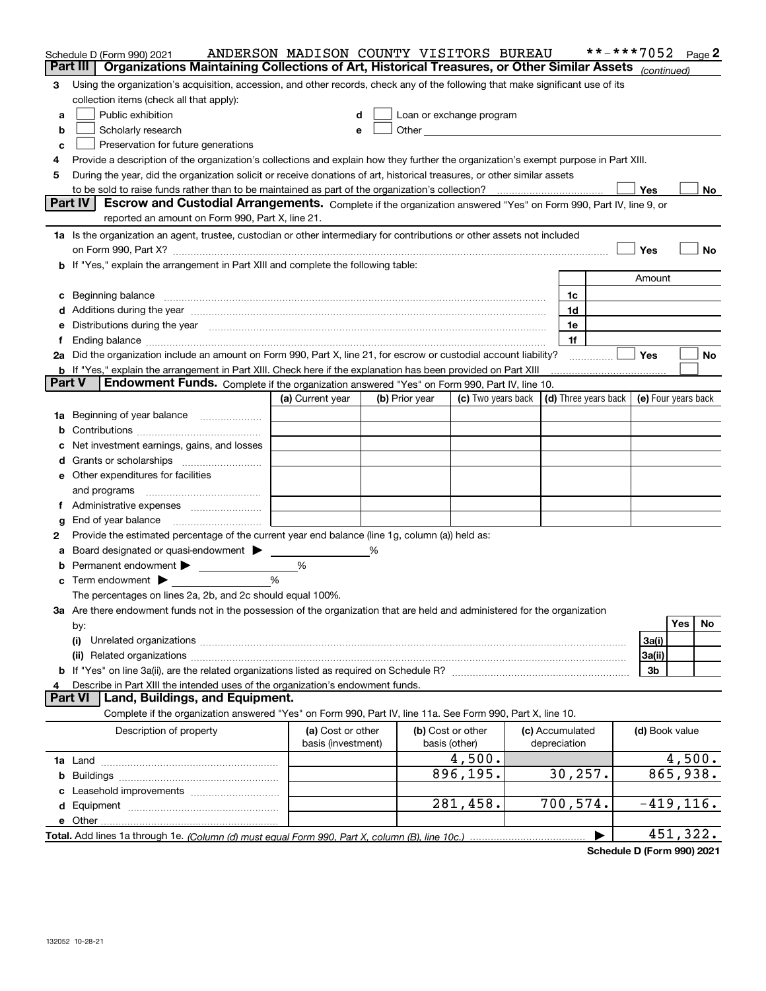|                                                                                                                               | Schedule D (Form 990) 2021                                                                                                                                                                                                     | ANDERSON MADISON COUNTY VISITORS BUREAU |   |                |                                                                                                                                                                                                                                |            |                      | **-***7052 |                     |     | Page 2    |
|-------------------------------------------------------------------------------------------------------------------------------|--------------------------------------------------------------------------------------------------------------------------------------------------------------------------------------------------------------------------------|-----------------------------------------|---|----------------|--------------------------------------------------------------------------------------------------------------------------------------------------------------------------------------------------------------------------------|------------|----------------------|------------|---------------------|-----|-----------|
|                                                                                                                               | Organizations Maintaining Collections of Art, Historical Treasures, or Other Similar Assets (continued)<br>Part III                                                                                                            |                                         |   |                |                                                                                                                                                                                                                                |            |                      |            |                     |     |           |
| 3                                                                                                                             | Using the organization's acquisition, accession, and other records, check any of the following that make significant use of its                                                                                                |                                         |   |                |                                                                                                                                                                                                                                |            |                      |            |                     |     |           |
|                                                                                                                               | collection items (check all that apply):                                                                                                                                                                                       |                                         |   |                |                                                                                                                                                                                                                                |            |                      |            |                     |     |           |
| a                                                                                                                             | Public exhibition                                                                                                                                                                                                              |                                         | d |                | Loan or exchange program                                                                                                                                                                                                       |            |                      |            |                     |     |           |
| b                                                                                                                             | Scholarly research                                                                                                                                                                                                             |                                         | e |                | Other and the control of the control of the control of the control of the control of the control of the control of the control of the control of the control of the control of the control of the control of the control of th |            |                      |            |                     |     |           |
| c                                                                                                                             | Preservation for future generations                                                                                                                                                                                            |                                         |   |                |                                                                                                                                                                                                                                |            |                      |            |                     |     |           |
| 4                                                                                                                             | Provide a description of the organization's collections and explain how they further the organization's exempt purpose in Part XIII.                                                                                           |                                         |   |                |                                                                                                                                                                                                                                |            |                      |            |                     |     |           |
| 5                                                                                                                             | During the year, did the organization solicit or receive donations of art, historical treasures, or other similar assets                                                                                                       |                                         |   |                |                                                                                                                                                                                                                                |            |                      |            |                     |     |           |
|                                                                                                                               |                                                                                                                                                                                                                                |                                         |   |                |                                                                                                                                                                                                                                |            |                      |            | Yes                 |     | No        |
|                                                                                                                               | Part IV<br>Escrow and Custodial Arrangements. Complete if the organization answered "Yes" on Form 990, Part IV, line 9, or                                                                                                     |                                         |   |                |                                                                                                                                                                                                                                |            |                      |            |                     |     |           |
|                                                                                                                               | reported an amount on Form 990, Part X, line 21.                                                                                                                                                                               |                                         |   |                |                                                                                                                                                                                                                                |            |                      |            |                     |     |           |
|                                                                                                                               | 1a Is the organization an agent, trustee, custodian or other intermediary for contributions or other assets not included                                                                                                       |                                         |   |                |                                                                                                                                                                                                                                |            |                      |            |                     |     |           |
|                                                                                                                               | Yes<br>No                                                                                                                                                                                                                      |                                         |   |                |                                                                                                                                                                                                                                |            |                      |            |                     |     |           |
|                                                                                                                               | b If "Yes," explain the arrangement in Part XIII and complete the following table:                                                                                                                                             |                                         |   |                |                                                                                                                                                                                                                                |            |                      |            |                     |     |           |
|                                                                                                                               | Amount                                                                                                                                                                                                                         |                                         |   |                |                                                                                                                                                                                                                                |            |                      |            |                     |     |           |
|                                                                                                                               | c Beginning balance measurements and the contract of the contract of the contract of the contract of the contract of the contract of the contract of the contract of the contract of the contract of the contract of the contr |                                         |   |                |                                                                                                                                                                                                                                |            | 1c                   |            |                     |     |           |
|                                                                                                                               | d Additions during the year measurements are all an according to the year measurement of the year measurement of the state of the state of the state of the state of the state of the state of the state of the state of the s |                                         |   |                |                                                                                                                                                                                                                                |            | 1d                   |            |                     |     |           |
|                                                                                                                               | e Distributions during the year manufactured and continuum and contact the year manufactured and contact the year manufactured and contact the year manufactured and contact the year manufactured and contact the year manufa |                                         |   |                |                                                                                                                                                                                                                                |            | 1e                   |            |                     |     |           |
| 1f<br>f<br>2a Did the organization include an amount on Form 990, Part X, line 21, for escrow or custodial account liability? |                                                                                                                                                                                                                                |                                         |   |                |                                                                                                                                                                                                                                | <b>Yes</b> |                      |            |                     |     |           |
|                                                                                                                               |                                                                                                                                                                                                                                |                                         |   |                |                                                                                                                                                                                                                                |            |                      | .          |                     |     | No        |
| <b>Part V</b>                                                                                                                 | <b>b</b> If "Yes," explain the arrangement in Part XIII. Check here if the explanation has been provided on Part XIII<br>Endowment Funds. Complete if the organization answered "Yes" on Form 990, Part IV, line 10.           |                                         |   |                |                                                                                                                                                                                                                                |            |                      |            |                     |     |           |
|                                                                                                                               |                                                                                                                                                                                                                                | (a) Current year                        |   | (b) Prior year | (c) Two years back $\vert$                                                                                                                                                                                                     |            | (d) Three years back |            | (e) Four years back |     |           |
| 1a                                                                                                                            | Beginning of year balance                                                                                                                                                                                                      |                                         |   |                |                                                                                                                                                                                                                                |            |                      |            |                     |     |           |
|                                                                                                                               |                                                                                                                                                                                                                                |                                         |   |                |                                                                                                                                                                                                                                |            |                      |            |                     |     |           |
|                                                                                                                               | c Net investment earnings, gains, and losses                                                                                                                                                                                   |                                         |   |                |                                                                                                                                                                                                                                |            |                      |            |                     |     |           |
|                                                                                                                               | d Grants or scholarships                                                                                                                                                                                                       |                                         |   |                |                                                                                                                                                                                                                                |            |                      |            |                     |     |           |
|                                                                                                                               | <b>e</b> Other expenditures for facilities                                                                                                                                                                                     |                                         |   |                |                                                                                                                                                                                                                                |            |                      |            |                     |     |           |
|                                                                                                                               |                                                                                                                                                                                                                                |                                         |   |                |                                                                                                                                                                                                                                |            |                      |            |                     |     |           |
|                                                                                                                               | and programs                                                                                                                                                                                                                   |                                         |   |                |                                                                                                                                                                                                                                |            |                      |            |                     |     |           |
|                                                                                                                               |                                                                                                                                                                                                                                |                                         |   |                |                                                                                                                                                                                                                                |            |                      |            |                     |     |           |
| g<br>2                                                                                                                        | End of year balance<br>Provide the estimated percentage of the current year end balance (line 1g, column (a)) held as:                                                                                                         |                                         |   |                |                                                                                                                                                                                                                                |            |                      |            |                     |     |           |
| a                                                                                                                             | Board designated or quasi-endowment                                                                                                                                                                                            |                                         | ℅ |                |                                                                                                                                                                                                                                |            |                      |            |                     |     |           |
|                                                                                                                               | <b>b</b> Permanent endowment >                                                                                                                                                                                                 | %                                       |   |                |                                                                                                                                                                                                                                |            |                      |            |                     |     |           |
|                                                                                                                               | $\mathbf c$ Term endowment $\blacktriangleright$                                                                                                                                                                               | %                                       |   |                |                                                                                                                                                                                                                                |            |                      |            |                     |     |           |
|                                                                                                                               | The percentages on lines 2a, 2b, and 2c should equal 100%.                                                                                                                                                                     |                                         |   |                |                                                                                                                                                                                                                                |            |                      |            |                     |     |           |
|                                                                                                                               | 3a Are there endowment funds not in the possession of the organization that are held and administered for the organization                                                                                                     |                                         |   |                |                                                                                                                                                                                                                                |            |                      |            |                     |     |           |
|                                                                                                                               | by:                                                                                                                                                                                                                            |                                         |   |                |                                                                                                                                                                                                                                |            |                      |            |                     | Yes | No        |
|                                                                                                                               | (i)                                                                                                                                                                                                                            |                                         |   |                |                                                                                                                                                                                                                                |            |                      |            | 3a(i)               |     |           |
|                                                                                                                               |                                                                                                                                                                                                                                |                                         |   |                |                                                                                                                                                                                                                                |            |                      |            | 3a(ii)              |     |           |
|                                                                                                                               |                                                                                                                                                                                                                                |                                         |   |                |                                                                                                                                                                                                                                |            |                      |            | 3b                  |     |           |
| 4                                                                                                                             | Describe in Part XIII the intended uses of the organization's endowment funds.                                                                                                                                                 |                                         |   |                |                                                                                                                                                                                                                                |            |                      |            |                     |     |           |
|                                                                                                                               | <b>Part VI</b><br>Land, Buildings, and Equipment.                                                                                                                                                                              |                                         |   |                |                                                                                                                                                                                                                                |            |                      |            |                     |     |           |
|                                                                                                                               | Complete if the organization answered "Yes" on Form 990, Part IV, line 11a. See Form 990, Part X, line 10.                                                                                                                     |                                         |   |                |                                                                                                                                                                                                                                |            |                      |            |                     |     |           |
|                                                                                                                               | Description of property                                                                                                                                                                                                        | (a) Cost or other                       |   |                | (b) Cost or other                                                                                                                                                                                                              |            | (c) Accumulated      |            | (d) Book value      |     |           |
|                                                                                                                               |                                                                                                                                                                                                                                | basis (investment)                      |   |                | basis (other)                                                                                                                                                                                                                  |            | depreciation         |            |                     |     |           |
|                                                                                                                               |                                                                                                                                                                                                                                |                                         |   |                | 4,500.                                                                                                                                                                                                                         |            |                      |            |                     |     | 4,500.    |
|                                                                                                                               |                                                                                                                                                                                                                                |                                         |   |                | 896,195.                                                                                                                                                                                                                       |            | 30, 257.             |            |                     |     | 865,938.  |
|                                                                                                                               |                                                                                                                                                                                                                                |                                         |   |                |                                                                                                                                                                                                                                |            |                      |            |                     |     |           |
|                                                                                                                               |                                                                                                                                                                                                                                |                                         |   |                | 281,458.                                                                                                                                                                                                                       |            | 700,574.             |            | $-419, 116.$        |     |           |
|                                                                                                                               |                                                                                                                                                                                                                                |                                         |   |                |                                                                                                                                                                                                                                |            |                      |            |                     |     |           |
|                                                                                                                               |                                                                                                                                                                                                                                |                                         |   |                |                                                                                                                                                                                                                                |            |                      |            |                     |     | 451, 322. |
|                                                                                                                               |                                                                                                                                                                                                                                |                                         |   |                |                                                                                                                                                                                                                                |            |                      |            |                     |     |           |

**Schedule D (Form 990) 2021**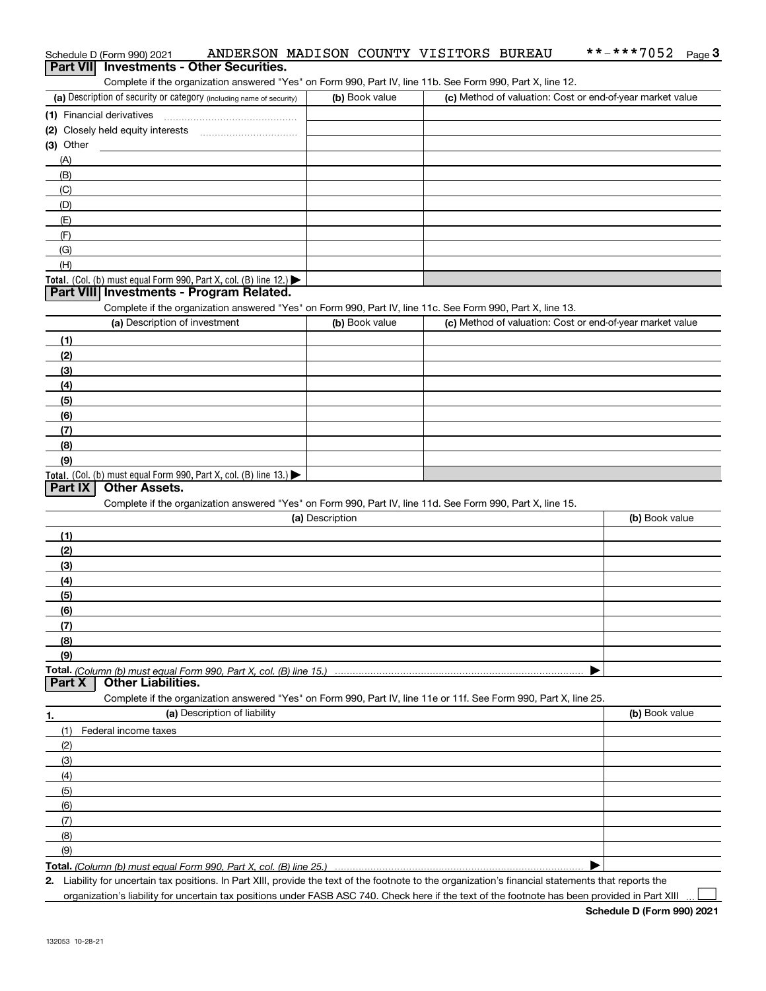| Schedule D (Form 990) 2021                                                                                                                         |                 | ANDERSON MADISON COUNTY VISITORS BUREAU                   | **-***7052<br>$Page$ <sup>3</sup> |
|----------------------------------------------------------------------------------------------------------------------------------------------------|-----------------|-----------------------------------------------------------|-----------------------------------|
| <b>Investments - Other Securities.</b><br><b>Part VIII</b>                                                                                         |                 |                                                           |                                   |
| Complete if the organization answered "Yes" on Form 990, Part IV, line 11b. See Form 990, Part X, line 12.                                         |                 |                                                           |                                   |
| (a) Description of security or category (including name of security)                                                                               | (b) Book value  | (c) Method of valuation: Cost or end-of-year market value |                                   |
| (1) Financial derivatives                                                                                                                          |                 |                                                           |                                   |
|                                                                                                                                                    |                 |                                                           |                                   |
| $(3)$ Other                                                                                                                                        |                 |                                                           |                                   |
| (A)                                                                                                                                                |                 |                                                           |                                   |
| (B)                                                                                                                                                |                 |                                                           |                                   |
| (C)                                                                                                                                                |                 |                                                           |                                   |
| (D)                                                                                                                                                |                 |                                                           |                                   |
| (E)                                                                                                                                                |                 |                                                           |                                   |
| (F)                                                                                                                                                |                 |                                                           |                                   |
| (G)                                                                                                                                                |                 |                                                           |                                   |
| (H)                                                                                                                                                |                 |                                                           |                                   |
| Total. (Col. (b) must equal Form 990, Part X, col. (B) line 12.)                                                                                   |                 |                                                           |                                   |
| Part VIII Investments - Program Related.                                                                                                           |                 |                                                           |                                   |
| Complete if the organization answered "Yes" on Form 990, Part IV, line 11c. See Form 990, Part X, line 13.                                         |                 |                                                           |                                   |
| (a) Description of investment                                                                                                                      | (b) Book value  | (c) Method of valuation: Cost or end-of-year market value |                                   |
| (1)                                                                                                                                                |                 |                                                           |                                   |
| (2)                                                                                                                                                |                 |                                                           |                                   |
| (3)                                                                                                                                                |                 |                                                           |                                   |
| (4)                                                                                                                                                |                 |                                                           |                                   |
| (5)                                                                                                                                                |                 |                                                           |                                   |
| (6)                                                                                                                                                |                 |                                                           |                                   |
| (7)                                                                                                                                                |                 |                                                           |                                   |
| (8)                                                                                                                                                |                 |                                                           |                                   |
| (9)                                                                                                                                                |                 |                                                           |                                   |
| Total. (Col. (b) must equal Form 990, Part X, col. (B) line 13.)                                                                                   |                 |                                                           |                                   |
| <b>Other Assets.</b><br>Part IX                                                                                                                    |                 |                                                           |                                   |
| Complete if the organization answered "Yes" on Form 990, Part IV, line 11d. See Form 990, Part X, line 15.                                         |                 |                                                           |                                   |
|                                                                                                                                                    | (a) Description |                                                           | (b) Book value                    |
| (1)                                                                                                                                                |                 |                                                           |                                   |
| (2)                                                                                                                                                |                 |                                                           |                                   |
|                                                                                                                                                    |                 |                                                           |                                   |
| (3)                                                                                                                                                |                 |                                                           |                                   |
| (4)                                                                                                                                                |                 |                                                           |                                   |
| (5)                                                                                                                                                |                 |                                                           |                                   |
| (6)                                                                                                                                                |                 |                                                           |                                   |
| (7)                                                                                                                                                |                 |                                                           |                                   |
| (8)                                                                                                                                                |                 |                                                           |                                   |
| (9)                                                                                                                                                |                 |                                                           |                                   |
| Total. (Column (b) must equal Form 990, Part X, col. (B) line 15.)<br><b>Other Liabilities.</b><br>Part X                                          |                 |                                                           |                                   |
| Complete if the organization answered "Yes" on Form 990, Part IV, line 11e or 11f. See Form 990, Part X, line 25.                                  |                 |                                                           |                                   |
| (a) Description of liability                                                                                                                       |                 |                                                           |                                   |
| 1.                                                                                                                                                 |                 |                                                           | (b) Book value                    |
| (1)<br>Federal income taxes                                                                                                                        |                 |                                                           |                                   |
| (2)                                                                                                                                                |                 |                                                           |                                   |
| (3)                                                                                                                                                |                 |                                                           |                                   |
| (4)                                                                                                                                                |                 |                                                           |                                   |
| (5)                                                                                                                                                |                 |                                                           |                                   |
| (6)                                                                                                                                                |                 |                                                           |                                   |
| (7)                                                                                                                                                |                 |                                                           |                                   |
| (8)                                                                                                                                                |                 |                                                           |                                   |
| (9)                                                                                                                                                |                 |                                                           |                                   |
| <b>Total.</b> (Column (b) must equal Form 990, Part X, col. (B) line 25.                                                                           |                 |                                                           |                                   |
| 2 Lightlity for uncertain tax positions. In Part YIII, provide the toyt of the footnete to the examization's financial statements that reports the |                 |                                                           |                                   |

**2.**Liability for uncertain tax positions. In Part XIII, provide the text of the footnote to the organization's financial statements that reports the organization's liability for uncertain tax positions under FASB ASC 740. Check here if the text of the footnote has been provided in Part XIII

 $\mathcal{L}^{\text{max}}$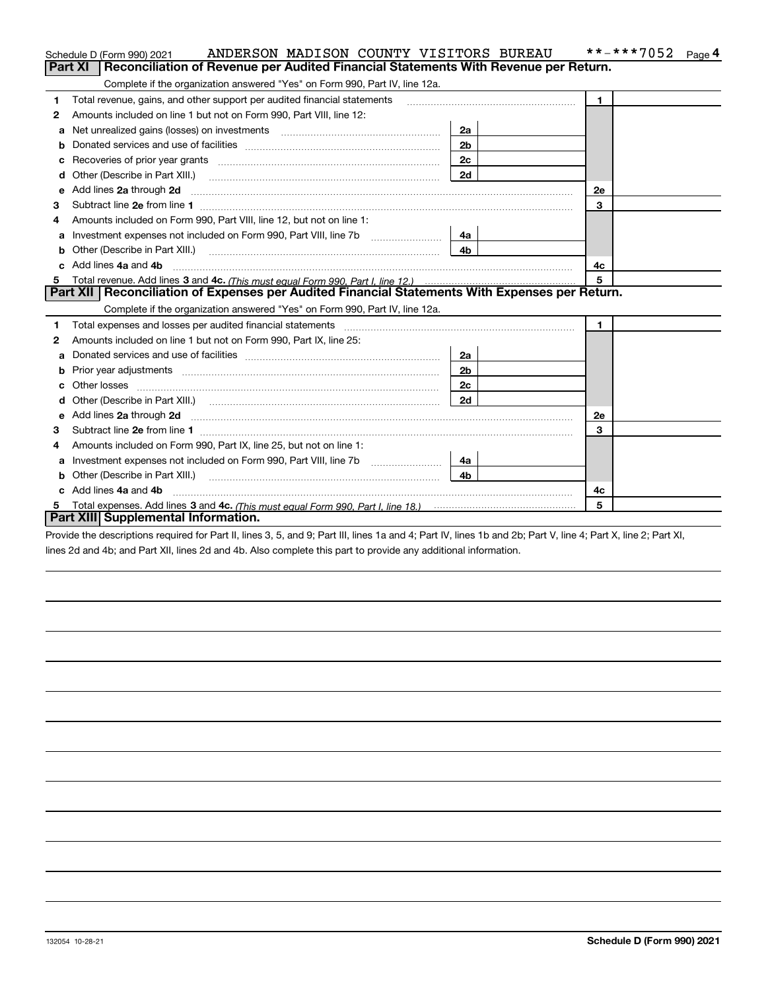|    | ANDERSON MADISON COUNTY VISITORS BUREAU<br>Schedule D (Form 990) 2021                                                                                                                                                          |                | **-***7052<br>Page 4 |  |  |  |  |
|----|--------------------------------------------------------------------------------------------------------------------------------------------------------------------------------------------------------------------------------|----------------|----------------------|--|--|--|--|
|    | Reconciliation of Revenue per Audited Financial Statements With Revenue per Return.<br>Part XI                                                                                                                                 |                |                      |  |  |  |  |
|    | Complete if the organization answered "Yes" on Form 990, Part IV, line 12a.                                                                                                                                                    |                |                      |  |  |  |  |
| 1  | Total revenue, gains, and other support per audited financial statements                                                                                                                                                       |                | $\blacktriangleleft$ |  |  |  |  |
| 2  | Amounts included on line 1 but not on Form 990, Part VIII, line 12:                                                                                                                                                            |                |                      |  |  |  |  |
| a  |                                                                                                                                                                                                                                | 2a             |                      |  |  |  |  |
|    |                                                                                                                                                                                                                                | 2 <sub>b</sub> |                      |  |  |  |  |
| с  | Recoveries of prior year grants [111] matter contracts and prior year grants [11] matter contracts and prior year grants and an intervention and an intervention and an intervention and an intervention and an intervention a | 2 <sub>c</sub> |                      |  |  |  |  |
| d  |                                                                                                                                                                                                                                | 2d             |                      |  |  |  |  |
| е  | Add lines 2a through 2d                                                                                                                                                                                                        |                | <b>2e</b>            |  |  |  |  |
| 3  |                                                                                                                                                                                                                                |                | 3                    |  |  |  |  |
| 4  | Amounts included on Form 990, Part VIII, line 12, but not on line 1:                                                                                                                                                           |                |                      |  |  |  |  |
| а  |                                                                                                                                                                                                                                | 4a             |                      |  |  |  |  |
| b  | Other (Describe in Part XIII.) <b>Construction Contract Construction</b> (Describe in Part XIII.)                                                                                                                              | 4 <sub>b</sub> |                      |  |  |  |  |
| c. | Add lines 4a and 4b                                                                                                                                                                                                            |                | 4c                   |  |  |  |  |
|    |                                                                                                                                                                                                                                |                | $\overline{5}$       |  |  |  |  |
|    | Part XII   Reconciliation of Expenses per Audited Financial Statements With Expenses per Return.                                                                                                                               |                |                      |  |  |  |  |
|    | Complete if the organization answered "Yes" on Form 990, Part IV, line 12a.                                                                                                                                                    |                |                      |  |  |  |  |
| 1  | Total expenses and losses per audited financial statements [11] [12] manuscription control expenses and losses per audited financial statements [12] manuscription of the statements [12] manuscription of the statements [12] |                | $\blacksquare$       |  |  |  |  |
| 2  | Amounts included on line 1 but not on Form 990, Part IX, line 25:                                                                                                                                                              |                |                      |  |  |  |  |
| a  |                                                                                                                                                                                                                                | 2a             |                      |  |  |  |  |
|    |                                                                                                                                                                                                                                | 2 <sub>b</sub> |                      |  |  |  |  |
| c  |                                                                                                                                                                                                                                | 2c             |                      |  |  |  |  |
| d  |                                                                                                                                                                                                                                | 2d             |                      |  |  |  |  |
| е  |                                                                                                                                                                                                                                |                | <b>2e</b>            |  |  |  |  |
| 3  |                                                                                                                                                                                                                                |                | 3                    |  |  |  |  |
| 4  | Amounts included on Form 990, Part IX, line 25, but not on line 1:                                                                                                                                                             |                |                      |  |  |  |  |
| а  |                                                                                                                                                                                                                                | 4a             |                      |  |  |  |  |
| b  |                                                                                                                                                                                                                                | 4b             |                      |  |  |  |  |
|    | Add lines 4a and 4b                                                                                                                                                                                                            |                | 4с                   |  |  |  |  |
| 5  | 5                                                                                                                                                                                                                              |                |                      |  |  |  |  |
|    | Part XIII Supplemental Information.                                                                                                                                                                                            |                |                      |  |  |  |  |

Provide the descriptions required for Part II, lines 3, 5, and 9; Part III, lines 1a and 4; Part IV, lines 1b and 2b; Part V, line 4; Part X, line 2; Part XI, lines 2d and 4b; and Part XII, lines 2d and 4b. Also complete this part to provide any additional information.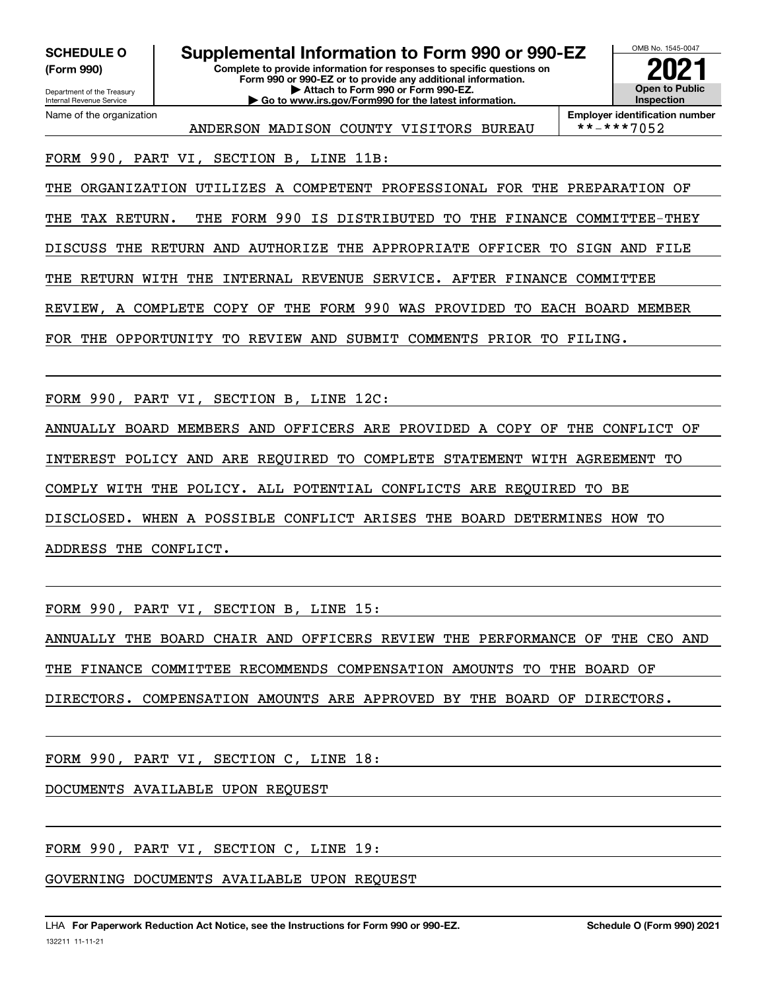**(Form 990)**

**Complete to provide information for responses to specific questions on SCHEDULE O Supplemental Information to Form 990 or 990-EZ**

**Form 990 or 990-EZ or to provide any additional information. | Attach to Form 990 or Form 990-EZ. | Go to www.irs.gov/Form990 for the latest information.**

**Open to Public InspectionEmployer identification number 2021**

OMB No. 1545-0047

ANDERSON MADISON COUNTY VISITORS BUREAU \*\*-\*\*\*7052

FORM 990, PART VI, SECTION B, LINE 11B:

THE ORGANIZATION UTILIZES A COMPETENT PROFESSIONAL FOR THE PREPARATION OF

THE TAX RETURN. THE FORM 990 IS DISTRIBUTED TO THE FINANCE COMMITTEE-THEY

DISCUSS THE RETURN AND AUTHORIZE THE APPROPRIATE OFFICER TO SIGN AND FILE

THE RETURN WITH THE INTERNAL REVENUE SERVICE. AFTER FINANCE COMMITTEE

REVIEW, A COMPLETE COPY OF THE FORM 990 WAS PROVIDED TO EACH BOARD MEMBER

FOR THE OPPORTUNITY TO REVIEW AND SUBMIT COMMENTS PRIOR TO FILING.

FORM 990, PART VI, SECTION B, LINE 12C:

ANNUALLY BOARD MEMBERS AND OFFICERS ARE PROVIDED A COPY OF THE CONFLICT OF

INTEREST POLICY AND ARE REQUIRED TO COMPLETE STATEMENT WITH AGREEMENT TO

COMPLY WITH THE POLICY. ALL POTENTIAL CONFLICTS ARE REQUIRED TO BE

DISCLOSED. WHEN A POSSIBLE CONFLICT ARISES THE BOARD DETERMINES HOW TO

ADDRESS THE CONFLICT.

FORM 990, PART VI, SECTION B, LINE 15:

ANNUALLY THE BOARD CHAIR AND OFFICERS REVIEW THE PERFORMANCE OF THE CEO AND

THE FINANCE COMMITTEE RECOMMENDS COMPENSATION AMOUNTS TO THE BOARD OF

DIRECTORS. COMPENSATION AMOUNTS ARE APPROVED BY THE BOARD OF DIRECTORS.

FORM 990, PART VI, SECTION C, LINE 18:

DOCUMENTS AVAILABLE UPON REQUEST

FORM 990, PART VI, SECTION C, LINE 19:

GOVERNING DOCUMENTS AVAILABLE UPON REQUEST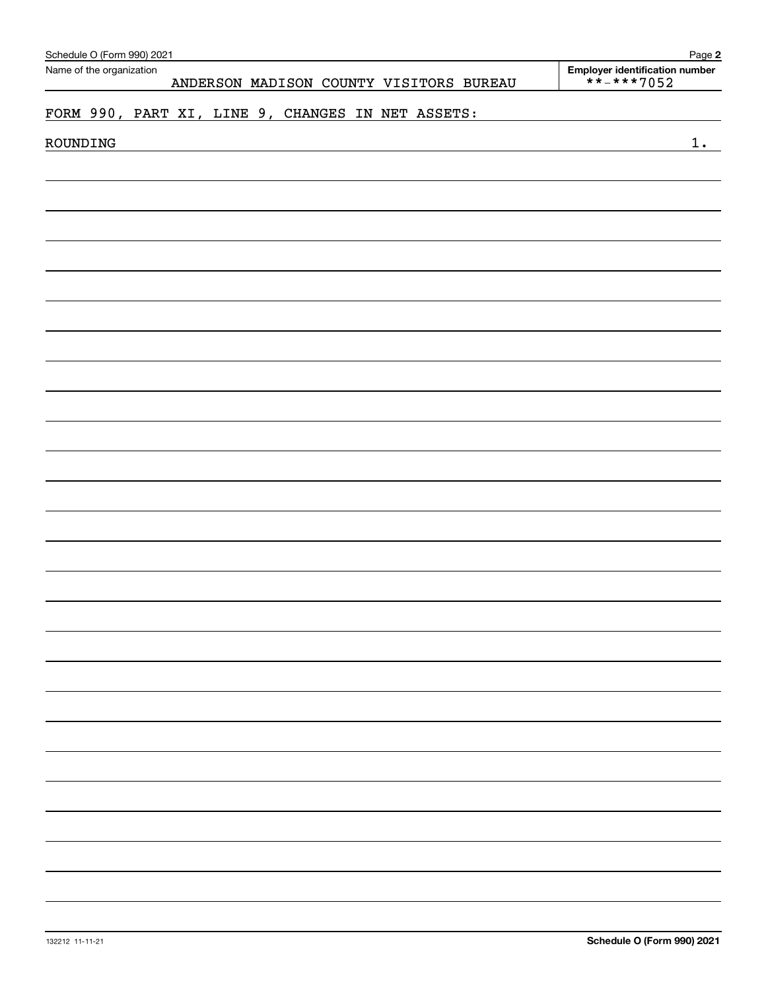| Schedule O (Form 990) 2021                                          | Page 2                                       |
|---------------------------------------------------------------------|----------------------------------------------|
| Name of the organization<br>ANDERSON MADISON COUNTY VISITORS BUREAU | Employer identification number<br>**-***7052 |
| FORM 990, PART XI, LINE 9, CHANGES IN NET ASSETS:                   |                                              |
| ROUNDING                                                            | $1$ .                                        |
|                                                                     |                                              |
|                                                                     |                                              |
|                                                                     |                                              |
|                                                                     |                                              |
|                                                                     |                                              |
|                                                                     |                                              |
|                                                                     |                                              |
|                                                                     |                                              |
|                                                                     |                                              |
|                                                                     |                                              |
|                                                                     |                                              |
|                                                                     |                                              |
|                                                                     |                                              |
|                                                                     |                                              |
|                                                                     |                                              |
|                                                                     |                                              |
|                                                                     |                                              |
|                                                                     |                                              |
|                                                                     |                                              |
|                                                                     |                                              |
|                                                                     |                                              |
|                                                                     |                                              |
|                                                                     |                                              |
|                                                                     |                                              |
|                                                                     |                                              |
|                                                                     |                                              |
|                                                                     |                                              |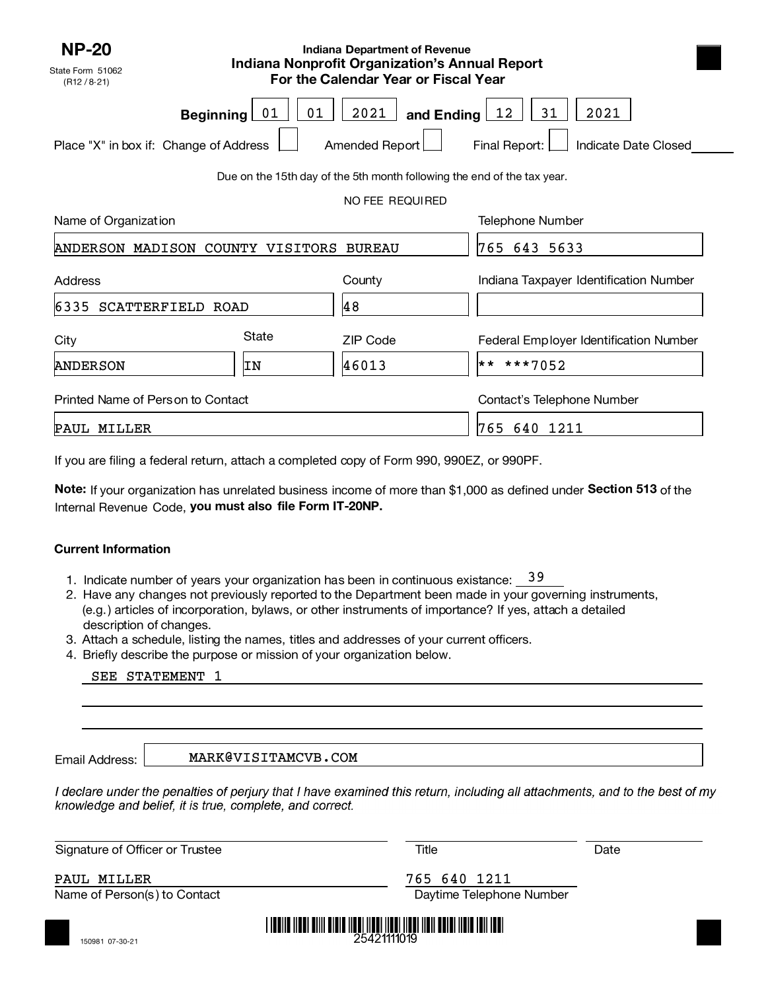| <b>NP-20</b>                                                            | <b>Indiana Department of Revenue</b><br><b>Indiana Nonprofit Organization's Annual Report</b> |                                      |                                        |  |  |  |  |  |
|-------------------------------------------------------------------------|-----------------------------------------------------------------------------------------------|--------------------------------------|----------------------------------------|--|--|--|--|--|
| State Form 51062<br>(R12 / 8.21)                                        |                                                                                               | For the Calendar Year or Fiscal Year |                                        |  |  |  |  |  |
| <b>Beginning</b>                                                        | 01<br>01                                                                                      | 2021<br>and Ending $\lfloor$         | 31<br>2021<br><u>12</u>                |  |  |  |  |  |
| Place "X" in box if: Change of Address                                  |                                                                                               | Amended Report                       | Final Report:<br>Indicate Date Closed  |  |  |  |  |  |
| Due on the 15th day of the 5th month following the end of the tax year. |                                                                                               |                                      |                                        |  |  |  |  |  |
| NO FEE REQUIRED                                                         |                                                                                               |                                      |                                        |  |  |  |  |  |
| Name of Organization                                                    |                                                                                               |                                      | Telephone Number                       |  |  |  |  |  |
| ANDERSON MADISON COUNTY VISITORS                                        |                                                                                               | <b>BUREAU</b>                        | 765<br>643 5633                        |  |  |  |  |  |
| Address                                                                 |                                                                                               | County                               | Indiana Taxpayer Identification Number |  |  |  |  |  |
| 6335 SCATTERFIELD ROAD                                                  |                                                                                               | 48                                   |                                        |  |  |  |  |  |
| City                                                                    | State                                                                                         | <b>ZIP Code</b>                      | Federal Employer Identification Number |  |  |  |  |  |
| <b>ANDERSON</b>                                                         | IN                                                                                            | 46013                                | ** ***7052                             |  |  |  |  |  |
| Printed Name of Person to Contact                                       |                                                                                               |                                      | Contact's Telephone Number             |  |  |  |  |  |
| PAUL MILLER                                                             |                                                                                               |                                      | 765<br>640 1211                        |  |  |  |  |  |

If you are filing a federal return, attach <sup>a</sup> completed copy of Form 990, 990EZ, or 990PF.

**Note:** If your organization has unrelated business income of more than \$1,000 as defined under **Section 513** of the Internal Revenue Code, **you must also file Form IT-20NP.** 

### **Current Information**

- 1. Indicate number of years your organization has been in continuous existance: <u>\_39</u>
- 2.Have any changes not previously reported to the Department been made in your governing instruments, (e.g.) articles of incorporation, bylaws, or other instruments of importance? If yes, attach a detailed description of changes.
- 3. Attach a schedule, listing the names, titles and addresses of your current officers.
- 4.Briefly describe the purpose or mission of your organization below.

Email Address:

MARK@VISITAMCVB.COM

I declare under the penalties of perjury that I have examined this return, including all attachments, and to the best of my knowledge and belief, it is true, complete, and correct.

Signature of Officer or Trustee Title Title Controller Date Date Date Date

PAUL MILLER 765 640 1211

Name of Person(s) to Contact **Daytime Telephone Number** Daytime Telephone Number



<u>I INDILE INDILAINI KUNDULUK INDILIISE TARAKSI TURIS ON ASAR ALAH INDILE</u> 25421111019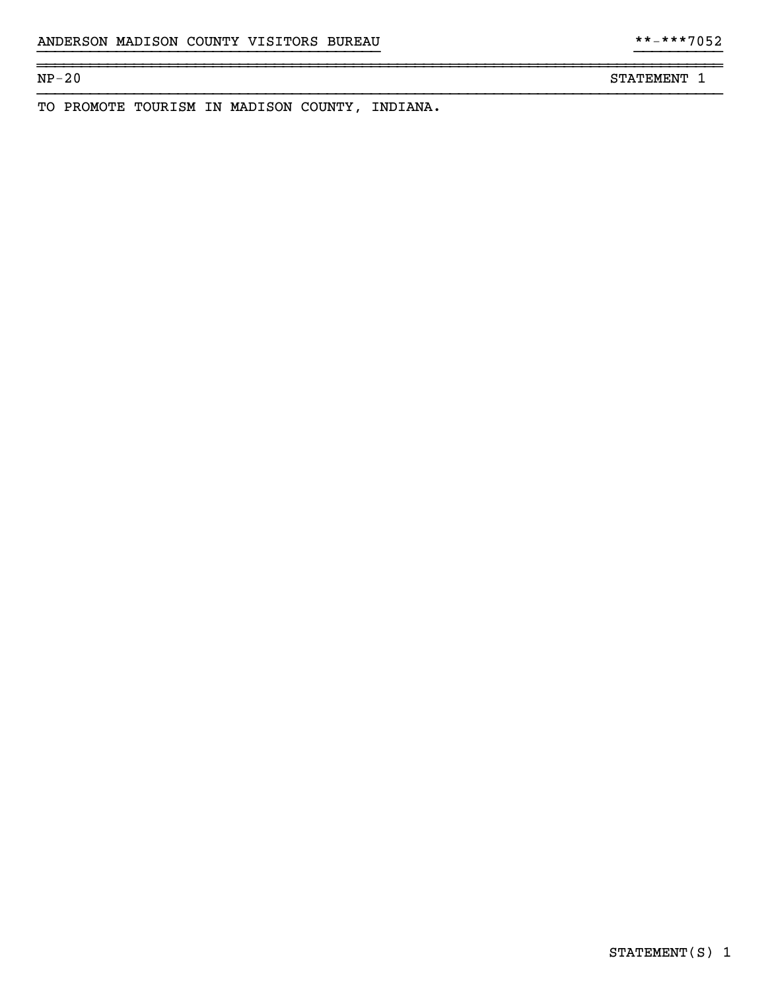NP-20 STATEMENT 1

TO PROMOTE TOURISM IN MADISON COUNTY, INDIANA.

}}}}}}}}}}}}}}}}}}}}}}}}}}}}}}}}}}}}}}} }}}}}}}}}}

~~~~~~~~~~~~~~~~~~~~~~~~~~~~~~~~~~~~~~~~~~~~~~~~~~~~~~~~~~~~~~~~~~~~~~~~~~~~~~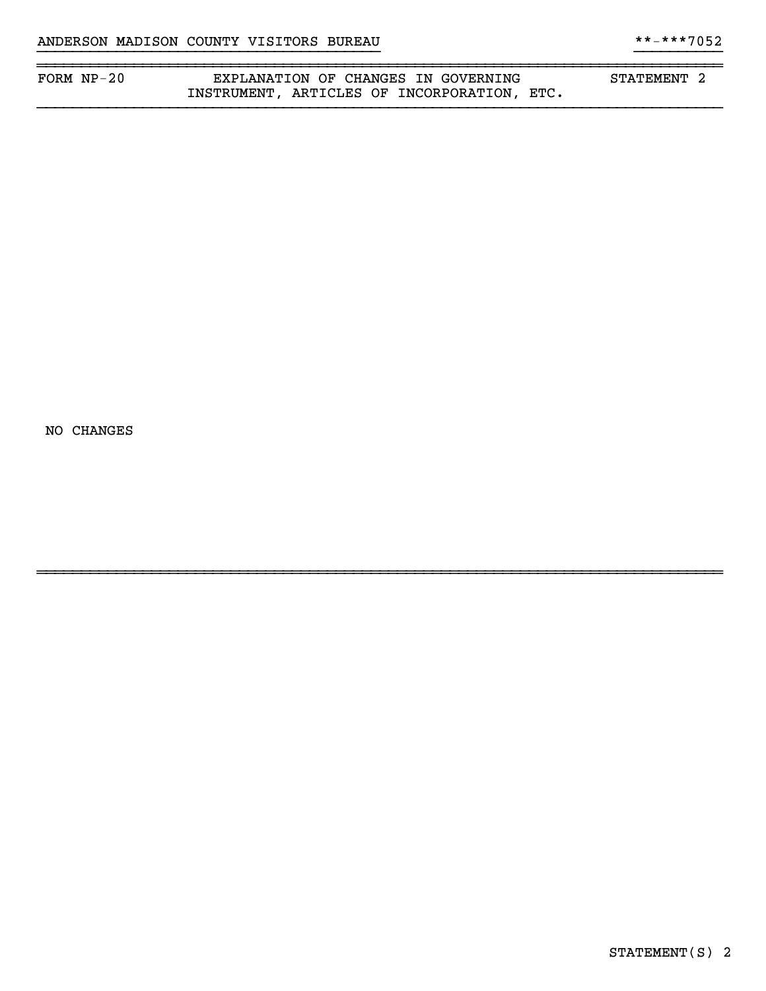| FORM $NP-20$ | EXPLANATION OF CHANGES IN GOVERNING               | STATEMENT |  |
|--------------|---------------------------------------------------|-----------|--|
|              | ARTICLES OF INCORPORATION,<br>ETC.<br>INSTRUMENT, |           |  |

~~~~~~~~~~~~~~~~~~~~~~~~~~~~~~~~~~~~~~~~~~~~~~~~~~~~~~~~~~~~~~~~~~~~~~~~~~~~~~

NO CHANGES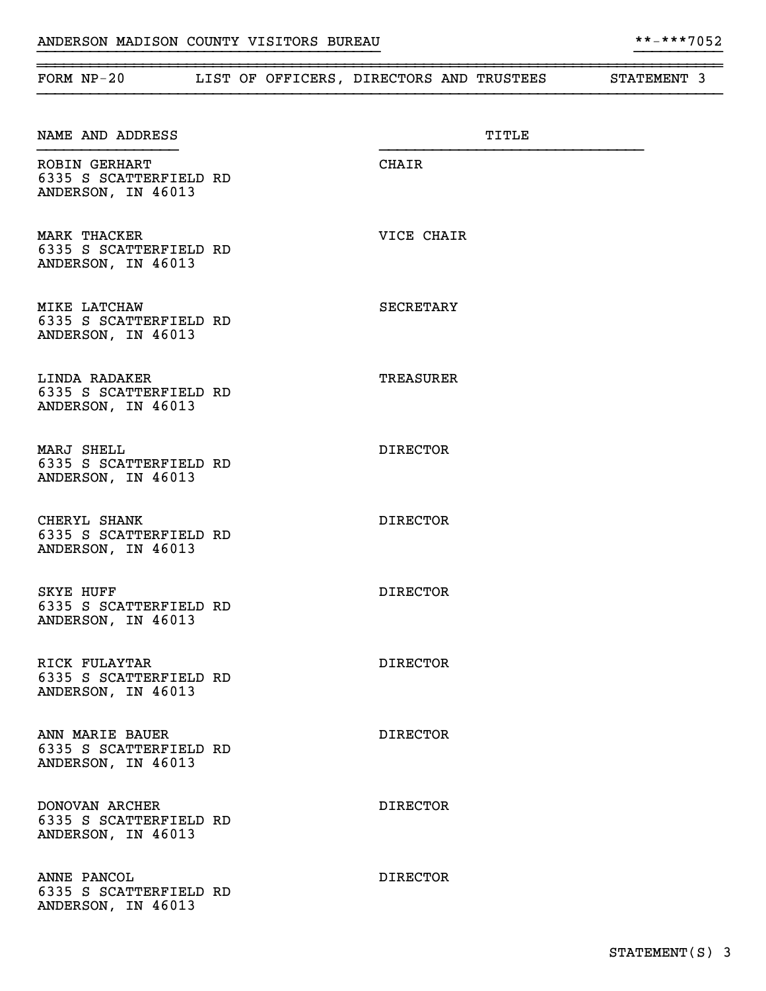~~~~~~~~~~~~~~~~~~~~~~~~~~~~~~~~~~~~~~~~~~~~~~~~~~~~~~~~~~~~~~~~~~~~~~~~~~~~~~

ANDERSON, IN 46013

| FORM $NP-20$                                                         | LIST OF OFFICERS, DIRECTORS AND TRUSTEES |                  |       | STATEMENT 3 |  |
|----------------------------------------------------------------------|------------------------------------------|------------------|-------|-------------|--|
| NAME AND ADDRESS                                                     |                                          |                  | TITLE |             |  |
| <b>ROBIN GERHART</b><br>6335 S SCATTERFIELD RD<br>ANDERSON, IN 46013 |                                          | CHAIR            |       |             |  |
| <b>MARK THACKER</b><br>6335 S SCATTERFIELD RD<br>ANDERSON, IN 46013  |                                          | VICE CHAIR       |       |             |  |
| MIKE LATCHAW<br>6335 S SCATTERFIELD RD<br>ANDERSON, IN 46013         |                                          | SECRETARY        |       |             |  |
| LINDA RADAKER<br>6335 S SCATTERFIELD RD<br>ANDERSON, IN 46013        |                                          | <b>TREASURER</b> |       |             |  |
| MARJ SHELL<br>6335 S SCATTERFIELD RD<br>ANDERSON, IN 46013           |                                          | <b>DIRECTOR</b>  |       |             |  |
| CHERYL SHANK<br>6335 S SCATTERFIELD RD<br>ANDERSON, IN 46013         |                                          | <b>DIRECTOR</b>  |       |             |  |
| SKYE HUFF<br>6335 S SCATTERFIELD RD<br>ANDERSON, IN 46013            |                                          | <b>DIRECTOR</b>  |       |             |  |
| RICK FULAYTAR<br>6335 S SCATTERFIELD RD<br>ANDERSON, IN 46013        |                                          | <b>DIRECTOR</b>  |       |             |  |
| ANN MARIE BAUER<br>6335 S SCATTERFIELD RD<br>ANDERSON, IN 46013      |                                          | <b>DIRECTOR</b>  |       |             |  |
| DONOVAN ARCHER<br>6335 S SCATTERFIELD RD<br>ANDERSON, IN 46013       |                                          | <b>DIRECTOR</b>  |       |             |  |
| ANNE PANCOL<br>6335 S SCATTERFIELD RD                                |                                          | <b>DIRECTOR</b>  |       |             |  |

}}}}}}}}}}}}}}}}}}}}}}}}}}}}}}}}}}}}}}} }}}}}}}}}}